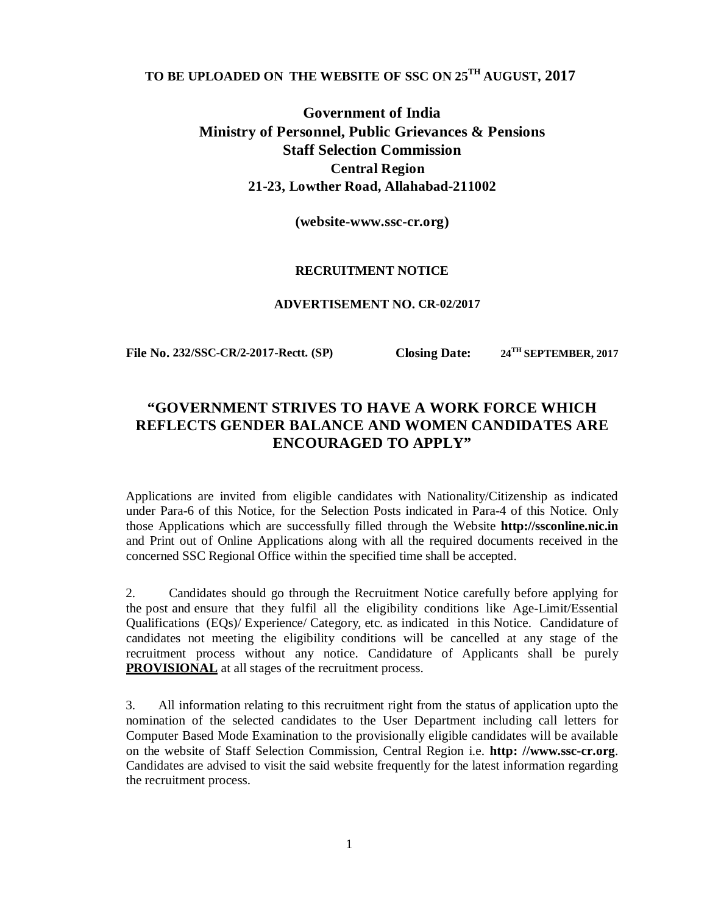# **TO BE UPLOADED ON THE WEBSITE OF SSC ON 25TH AUGUST, 2017**

**Government of India Ministry of Personnel, Public Grievances & Pensions Staff Selection Commission Central Region 21-23, Lowther Road, Allahabad-211002** 

**(website-www.ssc-cr.org)**

#### **RECRUITMENT NOTICE**

#### **ADVERTISEMENT NO. CR-02/2017**

**File No. 232/SSC-CR/2-2017-Rectt. (SP) Closing Date: 24TH SEPTEMBER, 2017**

# **"GOVERNMENT STRIVES TO HAVE A WORK FORCE WHICH REFLECTS GENDER BALANCE AND WOMEN CANDIDATES ARE ENCOURAGED TO APPLY"**

Applications are invited from eligible candidates with Nationality/Citizenship as indicated under Para-6 of this Notice, for the Selection Posts indicated in Para-4 of this Notice. Only those Applications which are successfully filled through the Website **http://ssconline.nic.in** and Print out of Online Applications along with all the required documents received in the concerned SSC Regional Office within the specified time shall be accepted.

2. Candidates should go through the Recruitment Notice carefully before applying for the post and ensure that they fulfil all the eligibility conditions like Age-Limit/Essential Qualifications (EQs)/ Experience/ Category, etc. as indicated in this Notice. Candidature of candidates not meeting the eligibility conditions will be cancelled at any stage of the recruitment process without any notice. Candidature of Applicants shall be purely **PROVISIONAL** at all stages of the recruitment process.

3. All information relating to this recruitment right from the status of application upto the nomination of the selected candidates to the User Department including call letters for Computer Based Mode Examination to the provisionally eligible candidates will be available on the website of Staff Selection Commission, Central Region i.e. **http: //www.ssc-cr.org**. Candidates are advised to visit the said website frequently for the latest information regarding the recruitment process.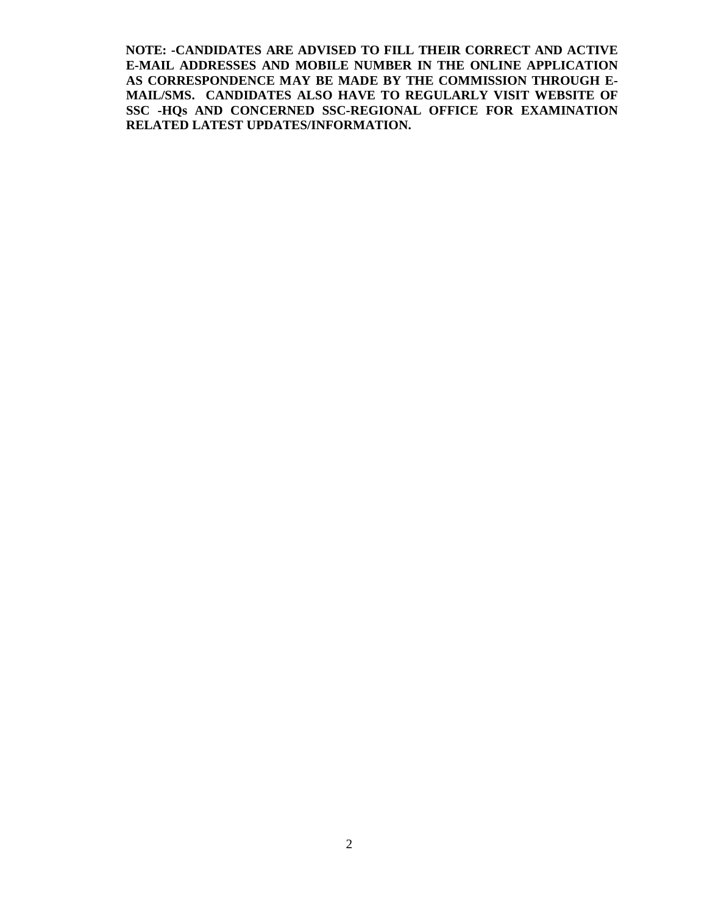**NOTE: -CANDIDATES ARE ADVISED TO FILL THEIR CORRECT AND ACTIVE E-MAIL ADDRESSES AND MOBILE NUMBER IN THE ONLINE APPLICATION AS CORRESPONDENCE MAY BE MADE BY THE COMMISSION THROUGH E-MAIL/SMS. CANDIDATES ALSO HAVE TO REGULARLY VISIT WEBSITE OF SSC -HQs AND CONCERNED SSC-REGIONAL OFFICE FOR EXAMINATION RELATED LATEST UPDATES/INFORMATION.**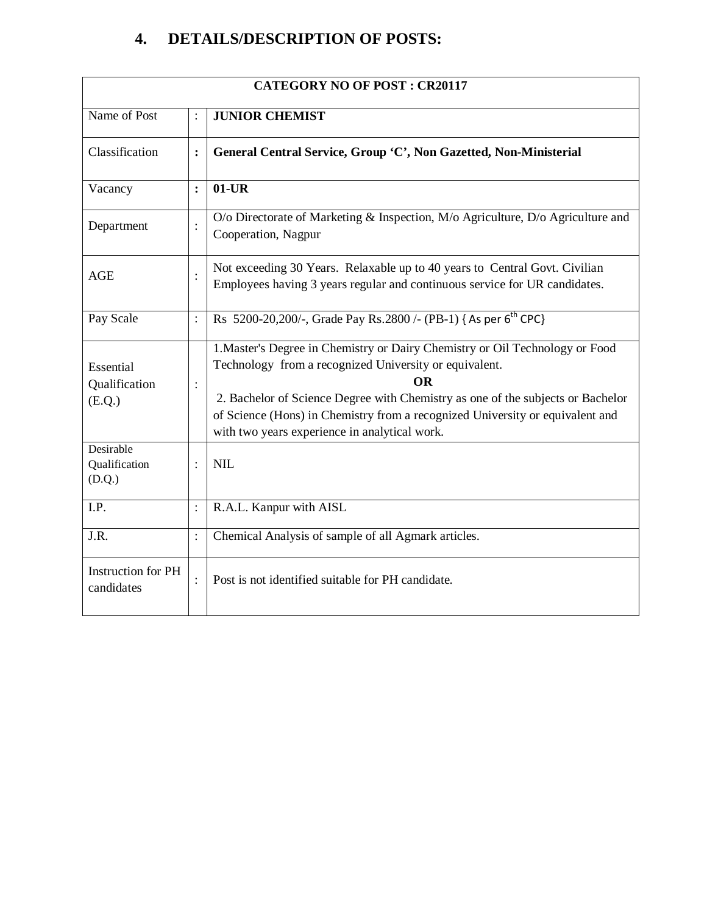# **4. DETAILS/DESCRIPTION OF POSTS:**

| <b>CATEGORY NO OF POST: CR20117</b>     |                |                                                                                                                                                                                                                                                                                                                                                                          |  |
|-----------------------------------------|----------------|--------------------------------------------------------------------------------------------------------------------------------------------------------------------------------------------------------------------------------------------------------------------------------------------------------------------------------------------------------------------------|--|
| Name of Post                            |                | <b>JUNIOR CHEMIST</b>                                                                                                                                                                                                                                                                                                                                                    |  |
| Classification                          | $\ddot{\cdot}$ | General Central Service, Group 'C', Non Gazetted, Non-Ministerial                                                                                                                                                                                                                                                                                                        |  |
| Vacancy                                 | $\ddot{\cdot}$ | $01$ -UR                                                                                                                                                                                                                                                                                                                                                                 |  |
| Department                              | $\ddot{\cdot}$ | O/o Directorate of Marketing & Inspection, M/o Agriculture, D/o Agriculture and<br>Cooperation, Nagpur                                                                                                                                                                                                                                                                   |  |
| <b>AGE</b>                              | $\ddot{\cdot}$ | Not exceeding 30 Years. Relaxable up to 40 years to Central Govt. Civilian<br>Employees having 3 years regular and continuous service for UR candidates.                                                                                                                                                                                                                 |  |
| Pay Scale                               | $\ddot{\cdot}$ | Rs 5200-20,200/-, Grade Pay Rs.2800 /- (PB-1) { As per 6 <sup>th</sup> CPC}                                                                                                                                                                                                                                                                                              |  |
| Essential<br>Qualification<br>(E.Q.)    | $\ddot{\cdot}$ | 1. Master's Degree in Chemistry or Dairy Chemistry or Oil Technology or Food<br>Technology from a recognized University or equivalent.<br><b>OR</b><br>2. Bachelor of Science Degree with Chemistry as one of the subjects or Bachelor<br>of Science (Hons) in Chemistry from a recognized University or equivalent and<br>with two years experience in analytical work. |  |
| Desirable<br>Qualification<br>(D.Q.)    | $\ddot{\cdot}$ | <b>NIL</b>                                                                                                                                                                                                                                                                                                                                                               |  |
| I.P.                                    | $\ddot{\cdot}$ | R.A.L. Kanpur with AISL                                                                                                                                                                                                                                                                                                                                                  |  |
| J.R.                                    | $\ddot{\cdot}$ | Chemical Analysis of sample of all Agmark articles.                                                                                                                                                                                                                                                                                                                      |  |
| <b>Instruction for PH</b><br>candidates |                | Post is not identified suitable for PH candidate.                                                                                                                                                                                                                                                                                                                        |  |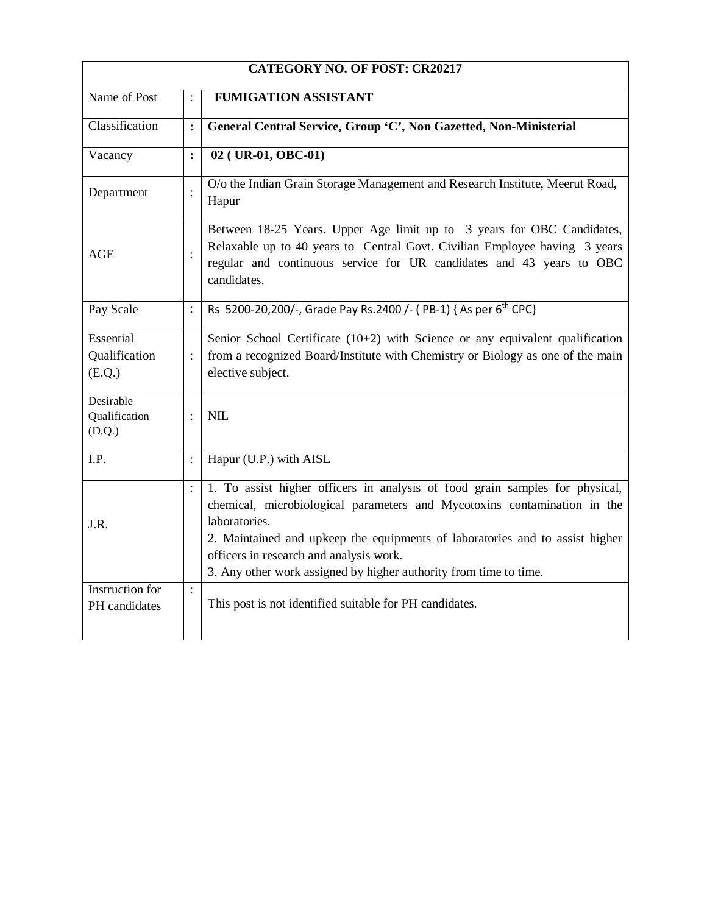| <b>CATEGORY NO. OF POST: CR20217</b>    |                |                                                                                                                                                                                                                                                                                                                                                                           |  |  |
|-----------------------------------------|----------------|---------------------------------------------------------------------------------------------------------------------------------------------------------------------------------------------------------------------------------------------------------------------------------------------------------------------------------------------------------------------------|--|--|
| Name of Post                            |                | <b>FUMIGATION ASSISTANT</b>                                                                                                                                                                                                                                                                                                                                               |  |  |
| Classification                          | $\ddot{\cdot}$ | General Central Service, Group 'C', Non Gazetted, Non-Ministerial                                                                                                                                                                                                                                                                                                         |  |  |
| Vacancy                                 | $\ddot{\cdot}$ | 02 (UR-01, OBC-01)                                                                                                                                                                                                                                                                                                                                                        |  |  |
| Department                              |                | O/o the Indian Grain Storage Management and Research Institute, Meerut Road,<br>Hapur                                                                                                                                                                                                                                                                                     |  |  |
| AGE                                     |                | Between 18-25 Years. Upper Age limit up to 3 years for OBC Candidates,<br>Relaxable up to 40 years to Central Govt. Civilian Employee having 3 years<br>regular and continuous service for UR candidates and 43 years to OBC<br>candidates.                                                                                                                               |  |  |
| Pay Scale                               | $\ddot{\cdot}$ | Rs 5200-20,200/-, Grade Pay Rs.2400 /- (PB-1) { As per 6 <sup>th</sup> CPC}                                                                                                                                                                                                                                                                                               |  |  |
| Essential<br>Qualification<br>(E.Q.)    | $\ddot{\cdot}$ | Senior School Certificate $(10+2)$ with Science or any equivalent qualification<br>from a recognized Board/Institute with Chemistry or Biology as one of the main<br>elective subject.                                                                                                                                                                                    |  |  |
| Desirable<br>Qualification<br>(D.Q.)    | $\vdots$       | <b>NIL</b>                                                                                                                                                                                                                                                                                                                                                                |  |  |
| I.P.                                    | $\ddot{\cdot}$ | Hapur (U.P.) with AISL                                                                                                                                                                                                                                                                                                                                                    |  |  |
| J.R.                                    | $\ddot{\cdot}$ | 1. To assist higher officers in analysis of food grain samples for physical,<br>chemical, microbiological parameters and Mycotoxins contamination in the<br>laboratories.<br>2. Maintained and upkeep the equipments of laboratories and to assist higher<br>officers in research and analysis work.<br>3. Any other work assigned by higher authority from time to time. |  |  |
| <b>Instruction</b> for<br>PH candidates | $\ddot{\cdot}$ | This post is not identified suitable for PH candidates.                                                                                                                                                                                                                                                                                                                   |  |  |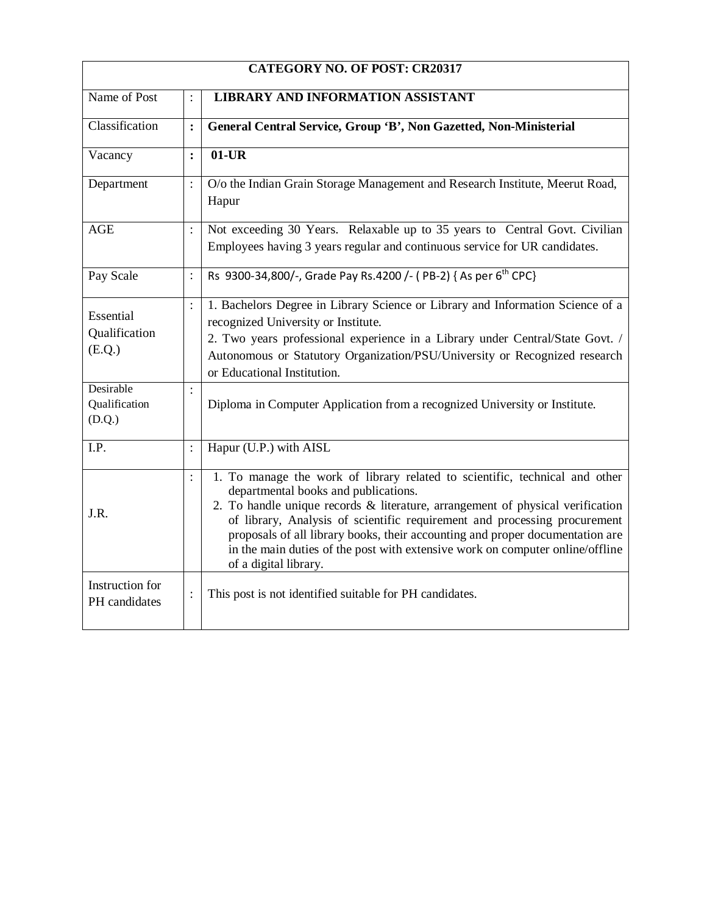| <b>CATEGORY NO. OF POST: CR20317</b> |                |                                                                                                                                                                                                                                                                                                                                                                                                                                                                               |  |
|--------------------------------------|----------------|-------------------------------------------------------------------------------------------------------------------------------------------------------------------------------------------------------------------------------------------------------------------------------------------------------------------------------------------------------------------------------------------------------------------------------------------------------------------------------|--|
| Name of Post                         | $\ddot{\cdot}$ | <b>LIBRARY AND INFORMATION ASSISTANT</b>                                                                                                                                                                                                                                                                                                                                                                                                                                      |  |
| Classification                       | $\ddot{\cdot}$ | General Central Service, Group 'B', Non Gazetted, Non-Ministerial                                                                                                                                                                                                                                                                                                                                                                                                             |  |
| Vacancy                              | $\ddot{\cdot}$ | $01$ -UR                                                                                                                                                                                                                                                                                                                                                                                                                                                                      |  |
| Department                           | $\ddot{\cdot}$ | O/o the Indian Grain Storage Management and Research Institute, Meerut Road,<br>Hapur                                                                                                                                                                                                                                                                                                                                                                                         |  |
| <b>AGE</b>                           | $\ddot{\cdot}$ | Not exceeding 30 Years. Relaxable up to 35 years to Central Govt. Civilian<br>Employees having 3 years regular and continuous service for UR candidates.                                                                                                                                                                                                                                                                                                                      |  |
| Pay Scale                            | $\ddot{\cdot}$ | Rs 9300-34,800/-, Grade Pay Rs.4200 /- (PB-2) { As per 6 <sup>th</sup> CPC}                                                                                                                                                                                                                                                                                                                                                                                                   |  |
| Essential<br>Qualification<br>(E.Q.) | $\ddot{\cdot}$ | 1. Bachelors Degree in Library Science or Library and Information Science of a<br>recognized University or Institute.<br>2. Two years professional experience in a Library under Central/State Govt. /<br>Autonomous or Statutory Organization/PSU/University or Recognized research<br>or Educational Institution.                                                                                                                                                           |  |
| Desirable<br>Qualification<br>(D.Q.) | $\ddot{\cdot}$ | Diploma in Computer Application from a recognized University or Institute.                                                                                                                                                                                                                                                                                                                                                                                                    |  |
| I.P.                                 | $\ddot{\cdot}$ | Hapur (U.P.) with AISL                                                                                                                                                                                                                                                                                                                                                                                                                                                        |  |
| J.R.                                 | $\ddot{\cdot}$ | 1. To manage the work of library related to scientific, technical and other<br>departmental books and publications.<br>2. To handle unique records & literature, arrangement of physical verification<br>of library, Analysis of scientific requirement and processing procurement<br>proposals of all library books, their accounting and proper documentation are<br>in the main duties of the post with extensive work on computer online/offline<br>of a digital library. |  |
| Instruction for<br>PH candidates     |                | This post is not identified suitable for PH candidates.                                                                                                                                                                                                                                                                                                                                                                                                                       |  |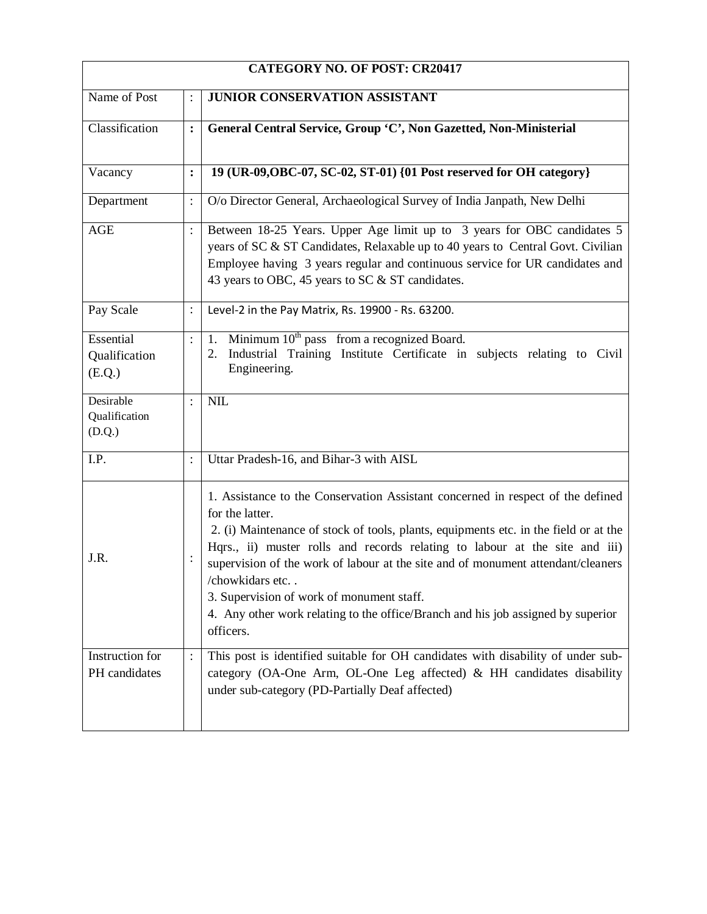| <b>CATEGORY NO. OF POST: CR20417</b> |                |                                                                                                                                                                                                                                                                                                                                                                                                                                                                                                                                |  |  |
|--------------------------------------|----------------|--------------------------------------------------------------------------------------------------------------------------------------------------------------------------------------------------------------------------------------------------------------------------------------------------------------------------------------------------------------------------------------------------------------------------------------------------------------------------------------------------------------------------------|--|--|
| Name of Post                         | $\ddot{\cdot}$ | <b>JUNIOR CONSERVATION ASSISTANT</b>                                                                                                                                                                                                                                                                                                                                                                                                                                                                                           |  |  |
| Classification                       | $\ddot{\cdot}$ | General Central Service, Group 'C', Non Gazetted, Non-Ministerial                                                                                                                                                                                                                                                                                                                                                                                                                                                              |  |  |
| Vacancy                              | $\ddot{\cdot}$ | 19 (UR-09, OBC-07, SC-02, ST-01) {01 Post reserved for OH category}                                                                                                                                                                                                                                                                                                                                                                                                                                                            |  |  |
| Department                           | $\ddot{\cdot}$ | O/o Director General, Archaeological Survey of India Janpath, New Delhi                                                                                                                                                                                                                                                                                                                                                                                                                                                        |  |  |
| AGE                                  | $\vdots$       | Between 18-25 Years. Upper Age limit up to 3 years for OBC candidates 5<br>years of SC & ST Candidates, Relaxable up to 40 years to Central Govt. Civilian<br>Employee having 3 years regular and continuous service for UR candidates and<br>43 years to OBC, 45 years to SC & ST candidates.                                                                                                                                                                                                                                 |  |  |
| Pay Scale                            | $\ddot{\cdot}$ | Level-2 in the Pay Matrix, Rs. 19900 - Rs. 63200.                                                                                                                                                                                                                                                                                                                                                                                                                                                                              |  |  |
| Essential<br>Qualification<br>(E.Q.) | $\ddot{\cdot}$ | Minimum 10 <sup>th</sup> pass from a recognized Board.<br>1.<br>Industrial Training Institute Certificate in subjects relating to Civil<br>2.<br>Engineering.                                                                                                                                                                                                                                                                                                                                                                  |  |  |
| Desirable<br>Qualification<br>(D.Q.) | $\cdot$        | <b>NIL</b>                                                                                                                                                                                                                                                                                                                                                                                                                                                                                                                     |  |  |
| I.P.                                 | $\ddot{\cdot}$ | Uttar Pradesh-16, and Bihar-3 with AISL                                                                                                                                                                                                                                                                                                                                                                                                                                                                                        |  |  |
| J.R.                                 |                | 1. Assistance to the Conservation Assistant concerned in respect of the defined<br>for the latter.<br>2. (i) Maintenance of stock of tools, plants, equipments etc. in the field or at the<br>Hqrs., ii) muster rolls and records relating to labour at the site and iii)<br>supervision of the work of labour at the site and of monument attendant/cleaners<br>/chowkidars etc<br>3. Supervision of work of monument staff.<br>4. Any other work relating to the office/Branch and his job assigned by superior<br>officers. |  |  |
| Instruction for<br>PH candidates     | $\ddot{\cdot}$ | This post is identified suitable for OH candidates with disability of under sub-<br>category (OA-One Arm, OL-One Leg affected) & HH candidates disability<br>under sub-category (PD-Partially Deaf affected)                                                                                                                                                                                                                                                                                                                   |  |  |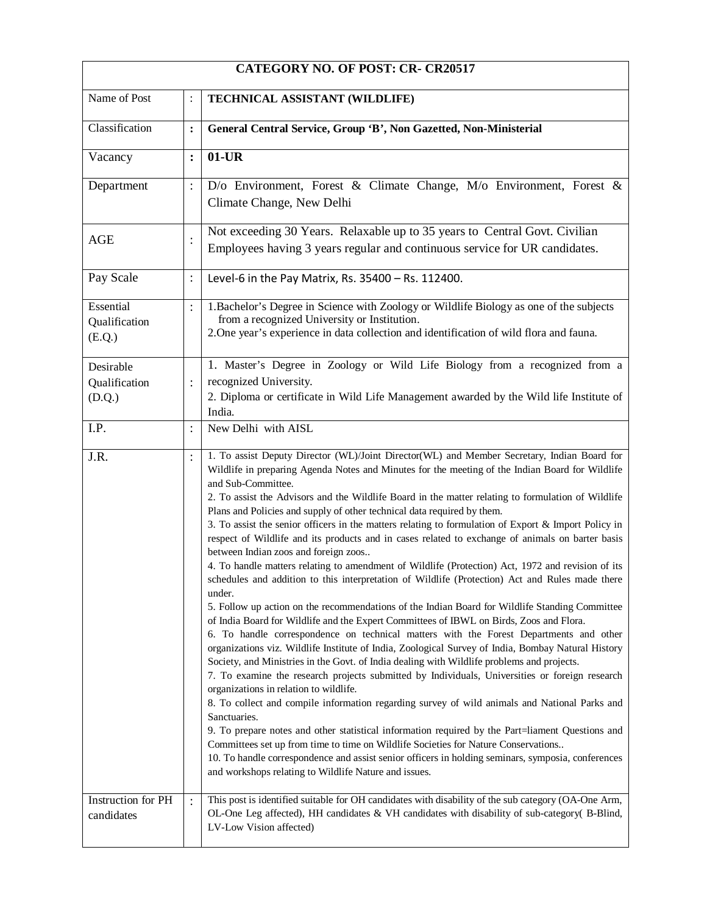| <b>CATEGORY NO. OF POST: CR- CR20517</b> |                |                                                                                                                                                                                                                                                                                                                                                                                                                                                                                                                                                                                                                                                                                                                                                                                                                                                                                                                                                                                                                                                                                                                                                                                                                                                                                                                                                                                                                                                                                                                                                                                                                                                                                                                                                                                                                                                                                                                                                                                              |  |
|------------------------------------------|----------------|----------------------------------------------------------------------------------------------------------------------------------------------------------------------------------------------------------------------------------------------------------------------------------------------------------------------------------------------------------------------------------------------------------------------------------------------------------------------------------------------------------------------------------------------------------------------------------------------------------------------------------------------------------------------------------------------------------------------------------------------------------------------------------------------------------------------------------------------------------------------------------------------------------------------------------------------------------------------------------------------------------------------------------------------------------------------------------------------------------------------------------------------------------------------------------------------------------------------------------------------------------------------------------------------------------------------------------------------------------------------------------------------------------------------------------------------------------------------------------------------------------------------------------------------------------------------------------------------------------------------------------------------------------------------------------------------------------------------------------------------------------------------------------------------------------------------------------------------------------------------------------------------------------------------------------------------------------------------------------------------|--|
| Name of Post                             |                | TECHNICAL ASSISTANT (WILDLIFE)                                                                                                                                                                                                                                                                                                                                                                                                                                                                                                                                                                                                                                                                                                                                                                                                                                                                                                                                                                                                                                                                                                                                                                                                                                                                                                                                                                                                                                                                                                                                                                                                                                                                                                                                                                                                                                                                                                                                                               |  |
| Classification                           | :              | General Central Service, Group 'B', Non Gazetted, Non-Ministerial                                                                                                                                                                                                                                                                                                                                                                                                                                                                                                                                                                                                                                                                                                                                                                                                                                                                                                                                                                                                                                                                                                                                                                                                                                                                                                                                                                                                                                                                                                                                                                                                                                                                                                                                                                                                                                                                                                                            |  |
| Vacancy                                  | :              | $01$ -UR                                                                                                                                                                                                                                                                                                                                                                                                                                                                                                                                                                                                                                                                                                                                                                                                                                                                                                                                                                                                                                                                                                                                                                                                                                                                                                                                                                                                                                                                                                                                                                                                                                                                                                                                                                                                                                                                                                                                                                                     |  |
| Department                               |                | D/o Environment, Forest & Climate Change, M/o Environment, Forest &<br>Climate Change, New Delhi                                                                                                                                                                                                                                                                                                                                                                                                                                                                                                                                                                                                                                                                                                                                                                                                                                                                                                                                                                                                                                                                                                                                                                                                                                                                                                                                                                                                                                                                                                                                                                                                                                                                                                                                                                                                                                                                                             |  |
| <b>AGE</b>                               |                | Not exceeding 30 Years. Relaxable up to 35 years to Central Govt. Civilian<br>Employees having 3 years regular and continuous service for UR candidates.                                                                                                                                                                                                                                                                                                                                                                                                                                                                                                                                                                                                                                                                                                                                                                                                                                                                                                                                                                                                                                                                                                                                                                                                                                                                                                                                                                                                                                                                                                                                                                                                                                                                                                                                                                                                                                     |  |
| Pay Scale                                | $\ddot{\cdot}$ | Level-6 in the Pay Matrix, Rs. 35400 - Rs. 112400.                                                                                                                                                                                                                                                                                                                                                                                                                                                                                                                                                                                                                                                                                                                                                                                                                                                                                                                                                                                                                                                                                                                                                                                                                                                                                                                                                                                                                                                                                                                                                                                                                                                                                                                                                                                                                                                                                                                                           |  |
| Essential<br>Qualification<br>(E.Q.)     |                | 1. Bachelor's Degree in Science with Zoology or Wildlife Biology as one of the subjects<br>from a recognized University or Institution.<br>2. One year's experience in data collection and identification of wild flora and fauna.                                                                                                                                                                                                                                                                                                                                                                                                                                                                                                                                                                                                                                                                                                                                                                                                                                                                                                                                                                                                                                                                                                                                                                                                                                                                                                                                                                                                                                                                                                                                                                                                                                                                                                                                                           |  |
| Desirable<br>Qualification<br>(D.Q.)     |                | 1. Master's Degree in Zoology or Wild Life Biology from a recognized from a<br>recognized University.<br>2. Diploma or certificate in Wild Life Management awarded by the Wild life Institute of<br>India.                                                                                                                                                                                                                                                                                                                                                                                                                                                                                                                                                                                                                                                                                                                                                                                                                                                                                                                                                                                                                                                                                                                                                                                                                                                                                                                                                                                                                                                                                                                                                                                                                                                                                                                                                                                   |  |
| I.P.                                     |                | New Delhi with AISL                                                                                                                                                                                                                                                                                                                                                                                                                                                                                                                                                                                                                                                                                                                                                                                                                                                                                                                                                                                                                                                                                                                                                                                                                                                                                                                                                                                                                                                                                                                                                                                                                                                                                                                                                                                                                                                                                                                                                                          |  |
| J.R.                                     | $\vdots$       | 1. To assist Deputy Director (WL)/Joint Director(WL) and Member Secretary, Indian Board for<br>Wildlife in preparing Agenda Notes and Minutes for the meeting of the Indian Board for Wildlife<br>and Sub-Committee.<br>2. To assist the Advisors and the Wildlife Board in the matter relating to formulation of Wildlife<br>Plans and Policies and supply of other technical data required by them.<br>3. To assist the senior officers in the matters relating to formulation of Export & Import Policy in<br>respect of Wildlife and its products and in cases related to exchange of animals on barter basis<br>between Indian zoos and foreign zoos<br>4. To handle matters relating to amendment of Wildlife (Protection) Act, 1972 and revision of its<br>schedules and addition to this interpretation of Wildlife (Protection) Act and Rules made there<br>under.<br>5. Follow up action on the recommendations of the Indian Board for Wildlife Standing Committee<br>of India Board for Wildlife and the Expert Committees of IBWL on Birds, Zoos and Flora.<br>6. To handle correspondence on technical matters with the Forest Departments and other<br>organizations viz. Wildlife Institute of India, Zoological Survey of India, Bombay Natural History<br>Society, and Ministries in the Govt. of India dealing with Wildlife problems and projects.<br>7. To examine the research projects submitted by Individuals, Universities or foreign research<br>organizations in relation to wildlife.<br>8. To collect and compile information regarding survey of wild animals and National Parks and<br>Sanctuaries.<br>9. To prepare notes and other statistical information required by the Part=liament Questions and<br>Committees set up from time to time on Wildlife Societies for Nature Conservations<br>10. To handle correspondence and assist senior officers in holding seminars, symposia, conferences<br>and workshops relating to Wildlife Nature and issues. |  |
| Instruction for PH<br>candidates         |                | This post is identified suitable for OH candidates with disability of the sub category (OA-One Arm,<br>OL-One Leg affected), HH candidates & VH candidates with disability of sub-category( B-Blind,<br>LV-Low Vision affected)                                                                                                                                                                                                                                                                                                                                                                                                                                                                                                                                                                                                                                                                                                                                                                                                                                                                                                                                                                                                                                                                                                                                                                                                                                                                                                                                                                                                                                                                                                                                                                                                                                                                                                                                                              |  |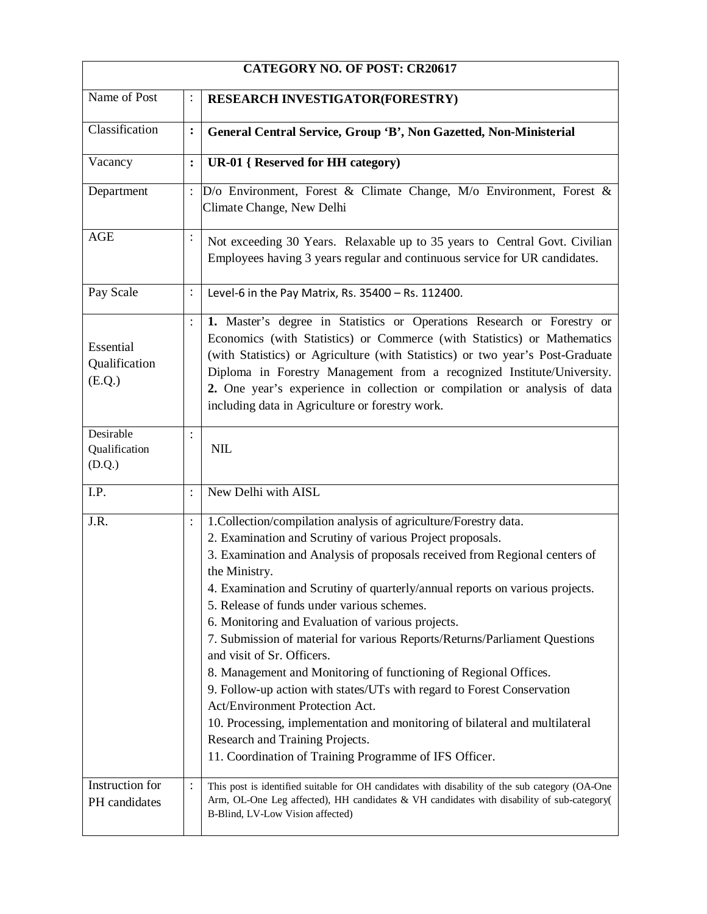| <b>CATEGORY NO. OF POST: CR20617</b> |                |                                                                                                                                                                                                                                                                                                                                                                                                                                                                                                                                                                                                                                                                                                                                                                                                                                                                                          |  |  |
|--------------------------------------|----------------|------------------------------------------------------------------------------------------------------------------------------------------------------------------------------------------------------------------------------------------------------------------------------------------------------------------------------------------------------------------------------------------------------------------------------------------------------------------------------------------------------------------------------------------------------------------------------------------------------------------------------------------------------------------------------------------------------------------------------------------------------------------------------------------------------------------------------------------------------------------------------------------|--|--|
| Name of Post                         | :              | <b>RESEARCH INVESTIGATOR(FORESTRY)</b>                                                                                                                                                                                                                                                                                                                                                                                                                                                                                                                                                                                                                                                                                                                                                                                                                                                   |  |  |
| Classification                       | $\ddot{\cdot}$ | General Central Service, Group 'B', Non Gazetted, Non-Ministerial                                                                                                                                                                                                                                                                                                                                                                                                                                                                                                                                                                                                                                                                                                                                                                                                                        |  |  |
| Vacancy                              | $\ddot{\cdot}$ | <b>UR-01</b> { Reserved for HH category)                                                                                                                                                                                                                                                                                                                                                                                                                                                                                                                                                                                                                                                                                                                                                                                                                                                 |  |  |
| Department                           |                | D/o Environment, Forest & Climate Change, M/o Environment, Forest &<br>Climate Change, New Delhi                                                                                                                                                                                                                                                                                                                                                                                                                                                                                                                                                                                                                                                                                                                                                                                         |  |  |
| <b>AGE</b>                           | $\vdots$       | Not exceeding 30 Years. Relaxable up to 35 years to Central Govt. Civilian<br>Employees having 3 years regular and continuous service for UR candidates.                                                                                                                                                                                                                                                                                                                                                                                                                                                                                                                                                                                                                                                                                                                                 |  |  |
| Pay Scale                            | $\ddot{\cdot}$ | Level-6 in the Pay Matrix, Rs. 35400 - Rs. 112400.                                                                                                                                                                                                                                                                                                                                                                                                                                                                                                                                                                                                                                                                                                                                                                                                                                       |  |  |
| Essential<br>Qualification<br>(E.Q.) | $\ddot{\cdot}$ | 1. Master's degree in Statistics or Operations Research or Forestry or<br>Economics (with Statistics) or Commerce (with Statistics) or Mathematics<br>(with Statistics) or Agriculture (with Statistics) or two year's Post-Graduate<br>Diploma in Forestry Management from a recognized Institute/University.<br>2. One year's experience in collection or compilation or analysis of data<br>including data in Agriculture or forestry work.                                                                                                                                                                                                                                                                                                                                                                                                                                           |  |  |
| Desirable<br>Qualification<br>(D.Q.) | $\vdots$       | <b>NIL</b>                                                                                                                                                                                                                                                                                                                                                                                                                                                                                                                                                                                                                                                                                                                                                                                                                                                                               |  |  |
| I.P.                                 | $\colon$       | New Delhi with AISL                                                                                                                                                                                                                                                                                                                                                                                                                                                                                                                                                                                                                                                                                                                                                                                                                                                                      |  |  |
| J.R.                                 | $\vdots$       | 1. Collection/compilation analysis of agriculture/Forestry data.<br>2. Examination and Scrutiny of various Project proposals.<br>3. Examination and Analysis of proposals received from Regional centers of<br>the Ministry.<br>4. Examination and Scrutiny of quarterly/annual reports on various projects.<br>5. Release of funds under various schemes.<br>6. Monitoring and Evaluation of various projects.<br>7. Submission of material for various Reports/Returns/Parliament Questions<br>and visit of Sr. Officers.<br>8. Management and Monitoring of functioning of Regional Offices.<br>9. Follow-up action with states/UTs with regard to Forest Conservation<br>Act/Environment Protection Act.<br>10. Processing, implementation and monitoring of bilateral and multilateral<br>Research and Training Projects.<br>11. Coordination of Training Programme of IFS Officer. |  |  |
| Instruction for<br>PH candidates     | $\ddot{\cdot}$ | This post is identified suitable for OH candidates with disability of the sub category (OA-One<br>Arm, OL-One Leg affected), HH candidates & VH candidates with disability of sub-category(<br>B-Blind, LV-Low Vision affected)                                                                                                                                                                                                                                                                                                                                                                                                                                                                                                                                                                                                                                                          |  |  |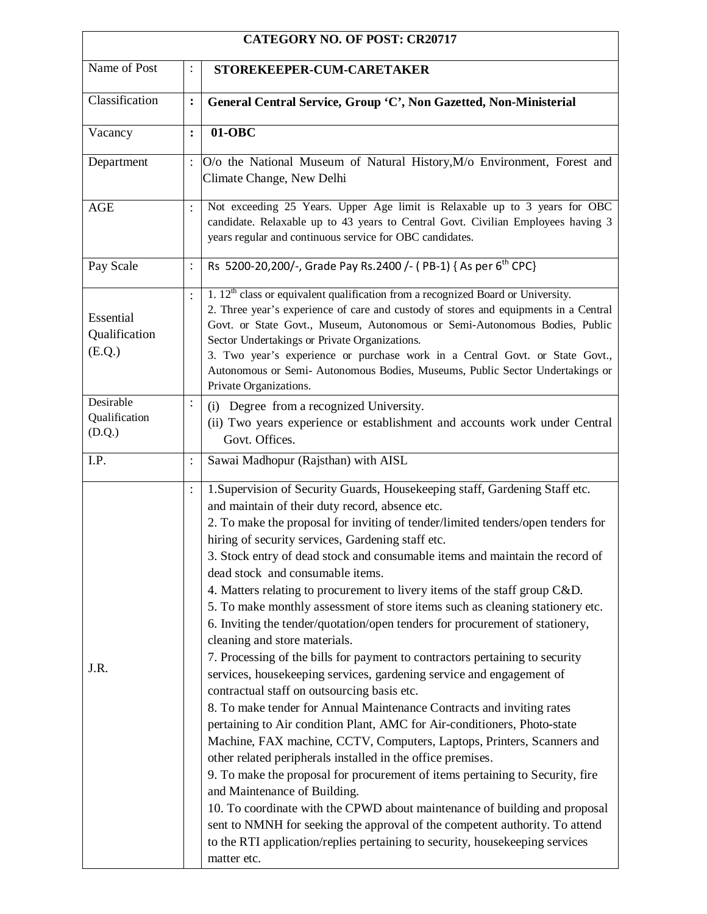| <b>CATEGORY NO. OF POST: CR20717</b>        |                |                                                                                                                                                                                                                                                                                                                                                                                                                                                                                                                                                                                                                                                                                                                                                                                                                                                                                                                                                                                                                                                                                                                                                                                                                                                                                                                                                                                                                                                                                                                                                              |  |
|---------------------------------------------|----------------|--------------------------------------------------------------------------------------------------------------------------------------------------------------------------------------------------------------------------------------------------------------------------------------------------------------------------------------------------------------------------------------------------------------------------------------------------------------------------------------------------------------------------------------------------------------------------------------------------------------------------------------------------------------------------------------------------------------------------------------------------------------------------------------------------------------------------------------------------------------------------------------------------------------------------------------------------------------------------------------------------------------------------------------------------------------------------------------------------------------------------------------------------------------------------------------------------------------------------------------------------------------------------------------------------------------------------------------------------------------------------------------------------------------------------------------------------------------------------------------------------------------------------------------------------------------|--|
| Name of Post                                |                | STOREKEEPER-CUM-CARETAKER                                                                                                                                                                                                                                                                                                                                                                                                                                                                                                                                                                                                                                                                                                                                                                                                                                                                                                                                                                                                                                                                                                                                                                                                                                                                                                                                                                                                                                                                                                                                    |  |
| Classification                              | $\ddot{\cdot}$ | General Central Service, Group 'C', Non Gazetted, Non-Ministerial                                                                                                                                                                                                                                                                                                                                                                                                                                                                                                                                                                                                                                                                                                                                                                                                                                                                                                                                                                                                                                                                                                                                                                                                                                                                                                                                                                                                                                                                                            |  |
| Vacancy                                     | $\ddot{\cdot}$ | $01-OBC$                                                                                                                                                                                                                                                                                                                                                                                                                                                                                                                                                                                                                                                                                                                                                                                                                                                                                                                                                                                                                                                                                                                                                                                                                                                                                                                                                                                                                                                                                                                                                     |  |
| Department                                  |                | O/o the National Museum of Natural History, M/o Environment, Forest and<br>Climate Change, New Delhi                                                                                                                                                                                                                                                                                                                                                                                                                                                                                                                                                                                                                                                                                                                                                                                                                                                                                                                                                                                                                                                                                                                                                                                                                                                                                                                                                                                                                                                         |  |
| <b>AGE</b>                                  | $\ddot{\cdot}$ | Not exceeding 25 Years. Upper Age limit is Relaxable up to 3 years for OBC<br>candidate. Relaxable up to 43 years to Central Govt. Civilian Employees having 3<br>years regular and continuous service for OBC candidates.                                                                                                                                                                                                                                                                                                                                                                                                                                                                                                                                                                                                                                                                                                                                                                                                                                                                                                                                                                                                                                                                                                                                                                                                                                                                                                                                   |  |
| Pay Scale                                   | $\ddot{\cdot}$ | Rs 5200-20,200/-, Grade Pay Rs.2400 /- (PB-1) { As per 6 <sup>th</sup> CPC}                                                                                                                                                                                                                                                                                                                                                                                                                                                                                                                                                                                                                                                                                                                                                                                                                                                                                                                                                                                                                                                                                                                                                                                                                                                                                                                                                                                                                                                                                  |  |
| Essential<br>Qualification<br>(E.Q.)        | $\ddot{\cdot}$ | 1. $12th$ class or equivalent qualification from a recognized Board or University.<br>2. Three year's experience of care and custody of stores and equipments in a Central<br>Govt. or State Govt., Museum, Autonomous or Semi-Autonomous Bodies, Public<br>Sector Undertakings or Private Organizations.<br>3. Two year's experience or purchase work in a Central Govt. or State Govt.,<br>Autonomous or Semi- Autonomous Bodies, Museums, Public Sector Undertakings or<br>Private Organizations.                                                                                                                                                                                                                                                                                                                                                                                                                                                                                                                                                                                                                                                                                                                                                                                                                                                                                                                                                                                                                                                         |  |
| Desirable<br>(i)<br>Qualification<br>(D.Q.) |                | Degree from a recognized University.<br>(ii) Two years experience or establishment and accounts work under Central<br>Govt. Offices.                                                                                                                                                                                                                                                                                                                                                                                                                                                                                                                                                                                                                                                                                                                                                                                                                                                                                                                                                                                                                                                                                                                                                                                                                                                                                                                                                                                                                         |  |
| I.P.                                        | $\ddot{\cdot}$ | Sawai Madhopur (Rajsthan) with AISL                                                                                                                                                                                                                                                                                                                                                                                                                                                                                                                                                                                                                                                                                                                                                                                                                                                                                                                                                                                                                                                                                                                                                                                                                                                                                                                                                                                                                                                                                                                          |  |
| J.R.                                        | $\ddot{\cdot}$ | 1. Supervision of Security Guards, Housekeeping staff, Gardening Staff etc.<br>and maintain of their duty record, absence etc.<br>2. To make the proposal for inviting of tender/limited tenders/open tenders for<br>hiring of security services, Gardening staff etc.<br>3. Stock entry of dead stock and consumable items and maintain the record of<br>dead stock and consumable items.<br>4. Matters relating to procurement to livery items of the staff group C&D.<br>5. To make monthly assessment of store items such as cleaning stationery etc.<br>6. Inviting the tender/quotation/open tenders for procurement of stationery,<br>cleaning and store materials.<br>7. Processing of the bills for payment to contractors pertaining to security<br>services, housekeeping services, gardening service and engagement of<br>contractual staff on outsourcing basis etc.<br>8. To make tender for Annual Maintenance Contracts and inviting rates<br>pertaining to Air condition Plant, AMC for Air-conditioners, Photo-state<br>Machine, FAX machine, CCTV, Computers, Laptops, Printers, Scanners and<br>other related peripherals installed in the office premises.<br>9. To make the proposal for procurement of items pertaining to Security, fire<br>and Maintenance of Building.<br>10. To coordinate with the CPWD about maintenance of building and proposal<br>sent to NMNH for seeking the approval of the competent authority. To attend<br>to the RTI application/replies pertaining to security, housekeeping services<br>matter etc. |  |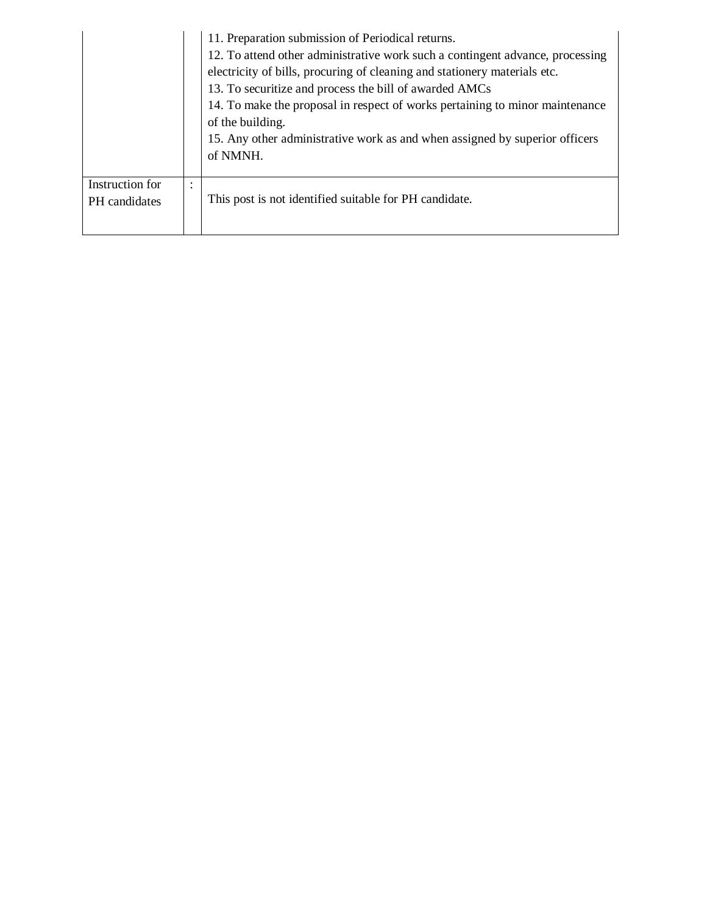|                                  |                | 11. Preparation submission of Periodical returns.<br>12. To attend other administrative work such a contingent advance, processing<br>electricity of bills, procuring of cleaning and stationery materials etc.<br>13. To securitize and process the bill of awarded AMCs<br>14. To make the proposal in respect of works pertaining to minor maintenance<br>of the building.<br>15. Any other administrative work as and when assigned by superior officers<br>of NMNH. |
|----------------------------------|----------------|--------------------------------------------------------------------------------------------------------------------------------------------------------------------------------------------------------------------------------------------------------------------------------------------------------------------------------------------------------------------------------------------------------------------------------------------------------------------------|
| Instruction for<br>PH candidates | ٠<br>$\bullet$ | This post is not identified suitable for PH candidate.                                                                                                                                                                                                                                                                                                                                                                                                                   |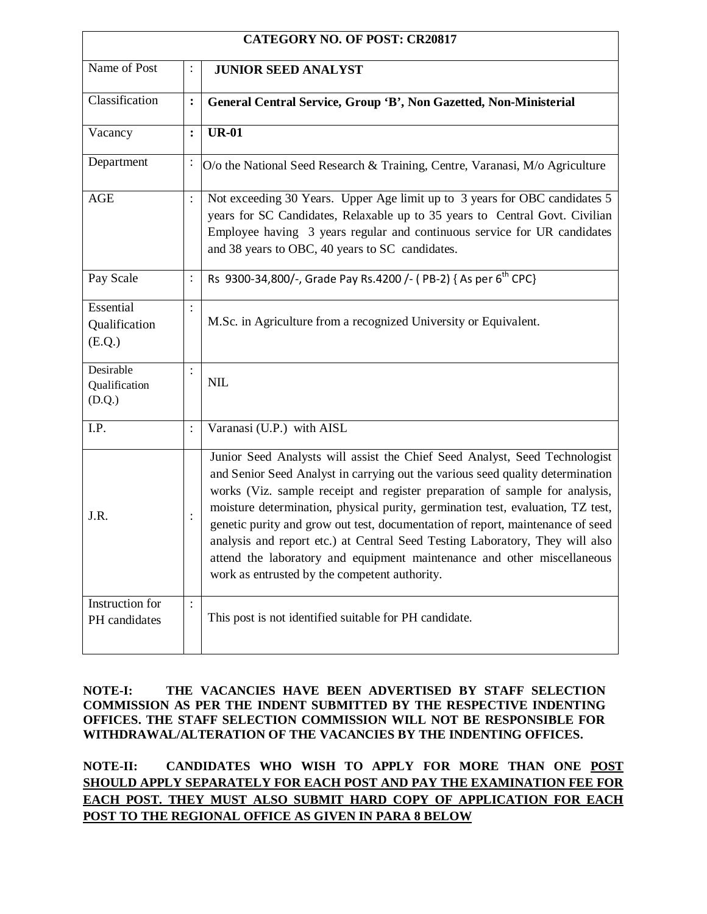| <b>CATEGORY NO. OF POST: CR20817</b> |                |                                                                                                                                                                                                                                                                                                                                                                                                                                                                                                                                                                                                                              |  |
|--------------------------------------|----------------|------------------------------------------------------------------------------------------------------------------------------------------------------------------------------------------------------------------------------------------------------------------------------------------------------------------------------------------------------------------------------------------------------------------------------------------------------------------------------------------------------------------------------------------------------------------------------------------------------------------------------|--|
| Name of Post                         | $\ddot{\cdot}$ | <b>JUNIOR SEED ANALYST</b>                                                                                                                                                                                                                                                                                                                                                                                                                                                                                                                                                                                                   |  |
| Classification                       | $\ddot{\cdot}$ | General Central Service, Group 'B', Non Gazetted, Non-Ministerial                                                                                                                                                                                                                                                                                                                                                                                                                                                                                                                                                            |  |
| Vacancy                              | $\ddot{\cdot}$ | <b>UR-01</b>                                                                                                                                                                                                                                                                                                                                                                                                                                                                                                                                                                                                                 |  |
| Department                           | $\vdots$       | O/o the National Seed Research & Training, Centre, Varanasi, M/o Agriculture                                                                                                                                                                                                                                                                                                                                                                                                                                                                                                                                                 |  |
| <b>AGE</b>                           | $\colon$       | Not exceeding 30 Years. Upper Age limit up to 3 years for OBC candidates 5<br>years for SC Candidates, Relaxable up to 35 years to Central Govt. Civilian<br>Employee having 3 years regular and continuous service for UR candidates<br>and 38 years to OBC, 40 years to SC candidates.                                                                                                                                                                                                                                                                                                                                     |  |
| Pay Scale                            | $\vdots$       | Rs 9300-34,800/-, Grade Pay Rs.4200 /- (PB-2) { As per 6 <sup>th</sup> CPC}                                                                                                                                                                                                                                                                                                                                                                                                                                                                                                                                                  |  |
| Essential<br>Qualification<br>(E.Q.) | $\vdots$       | M.Sc. in Agriculture from a recognized University or Equivalent.                                                                                                                                                                                                                                                                                                                                                                                                                                                                                                                                                             |  |
| Desirable<br>Qualification<br>(D.Q.) | $\ddot{\cdot}$ | <b>NIL</b>                                                                                                                                                                                                                                                                                                                                                                                                                                                                                                                                                                                                                   |  |
| I.P.                                 | :              | Varanasi (U.P.) with AISL                                                                                                                                                                                                                                                                                                                                                                                                                                                                                                                                                                                                    |  |
| J.R.                                 | $\vdots$       | Junior Seed Analysts will assist the Chief Seed Analyst, Seed Technologist<br>and Senior Seed Analyst in carrying out the various seed quality determination<br>works (Viz. sample receipt and register preparation of sample for analysis,<br>moisture determination, physical purity, germination test, evaluation, TZ test,<br>genetic purity and grow out test, documentation of report, maintenance of seed<br>analysis and report etc.) at Central Seed Testing Laboratory, They will also<br>attend the laboratory and equipment maintenance and other miscellaneous<br>work as entrusted by the competent authority. |  |
| Instruction for<br>PH candidates     | $\ddot{\cdot}$ | This post is not identified suitable for PH candidate.                                                                                                                                                                                                                                                                                                                                                                                                                                                                                                                                                                       |  |

### **NOTE-I: THE VACANCIES HAVE BEEN ADVERTISED BY STAFF SELECTION COMMISSION AS PER THE INDENT SUBMITTED BY THE RESPECTIVE INDENTING OFFICES. THE STAFF SELECTION COMMISSION WILL NOT BE RESPONSIBLE FOR WITHDRAWAL/ALTERATION OF THE VACANCIES BY THE INDENTING OFFICES.**

**NOTE-II: CANDIDATES WHO WISH TO APPLY FOR MORE THAN ONE POST SHOULD APPLY SEPARATELY FOR EACH POST AND PAY THE EXAMINATION FEE FOR EACH POST. THEY MUST ALSO SUBMIT HARD COPY OF APPLICATION FOR EACH POST TO THE REGIONAL OFFICE AS GIVEN IN PARA 8 BELOW**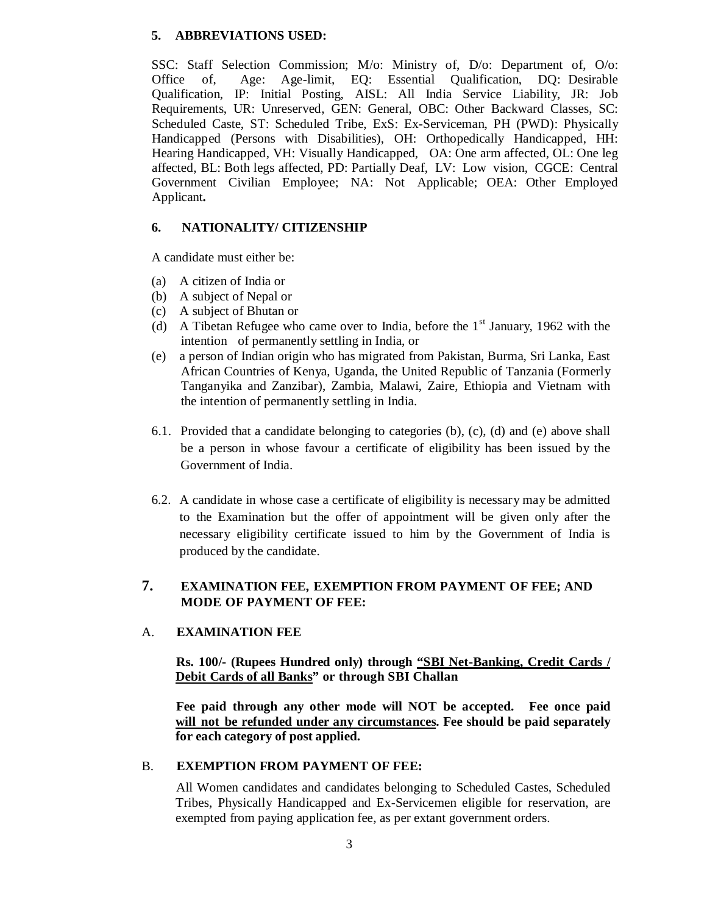## **5. ABBREVIATIONS USED:**

SSC: Staff Selection Commission; M/o: Ministry of, D/o: Department of, O/o: Office of, Age: Age-limit, EQ: Essential Qualification, DQ: Desirable Qualification, IP: Initial Posting, AISL: All India Service Liability, JR: Job Requirements, UR: Unreserved, GEN: General, OBC: Other Backward Classes, SC: Scheduled Caste, ST: Scheduled Tribe, ExS: Ex-Serviceman, PH (PWD): Physically Handicapped (Persons with Disabilities), OH: Orthopedically Handicapped, HH: Hearing Handicapped, VH: Visually Handicapped, OA: One arm affected, OL: One leg affected, BL: Both legs affected, PD: Partially Deaf, LV: Low vision, CGCE: Central Government Civilian Employee; NA: Not Applicable; OEA: Other Employed Applicant**.**

### **6. NATIONALITY/ CITIZENSHIP**

A candidate must either be:

- (a) A citizen of India or
- (b) A subject of Nepal or
- (c) A subject of Bhutan or
- (d) A Tibetan Refugee who came over to India, before the  $1<sup>st</sup>$  January, 1962 with the intention of permanently settling in India, or
- (e) a person of Indian origin who has migrated from Pakistan, Burma, Sri Lanka, East African Countries of Kenya, Uganda, the United Republic of Tanzania (Formerly Tanganyika and Zanzibar), Zambia, Malawi, Zaire, Ethiopia and Vietnam with the intention of permanently settling in India.
- 6.1. Provided that a candidate belonging to categories (b), (c), (d) and (e) above shall be a person in whose favour a certificate of eligibility has been issued by the Government of India.
- 6.2. A candidate in whose case a certificate of eligibility is necessary may be admitted to the Examination but the offer of appointment will be given only after the necessary eligibility certificate issued to him by the Government of India is produced by the candidate.

# **7. EXAMINATION FEE, EXEMPTION FROM PAYMENT OF FEE; AND MODE OF PAYMENT OF FEE:**

# A. **EXAMINATION FEE**

### **Rs. 100/- (Rupees Hundred only) through "SBI Net-Banking, Credit Cards / Debit Cards of all Banks" or through SBI Challan**

**Fee paid through any other mode will NOT be accepted. Fee once paid will not be refunded under any circumstances. Fee should be paid separately for each category of post applied.** 

### B. **EXEMPTION FROM PAYMENT OF FEE:**

All Women candidates and candidates belonging to Scheduled Castes, Scheduled Tribes, Physically Handicapped and Ex-Servicemen eligible for reservation, are exempted from paying application fee, as per extant government orders.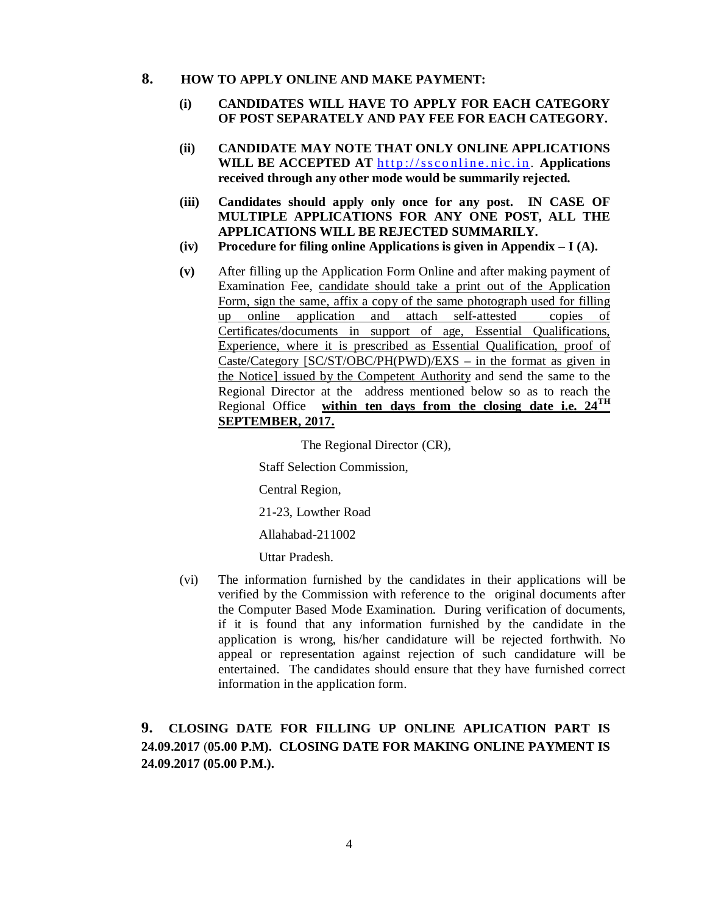### **8. HOW TO APPLY ONLINE AND MAKE PAYMENT:**

### **(i) CANDIDATES WILL HAVE TO APPLY FOR EACH CATEGORY OF POST SEPARATELY AND PAY FEE FOR EACH CATEGORY.**

- **(ii) CANDIDATE MAY NOTE THAT ONLY ONLINE APPLICATIONS WILL BE ACCEPTED AT http://ssconline.nic.in. Applications received through any other mode would be summarily rejected.**
- **(iii) Candidates should apply only once for any post. IN CASE OF MULTIPLE APPLICATIONS FOR ANY ONE POST, ALL THE APPLICATIONS WILL BE REJECTED SUMMARILY.**
- **(iv) Procedure for filing online Applications is given in Appendix I (A).**
- **(v)** After filling up the Application Form Online and after making payment of Examination Fee, candidate should take a print out of the Application Form, sign the same, affix a copy of the same photograph used for filling up online application and attach self-attested copies of Certificates/documents in support of age, Essential Qualifications, Experience, where it is prescribed as Essential Qualification, proof of Caste/Category [SC/ST/OBC/PH(PWD)/EXS – in the format as given in the Notice] issued by the Competent Authority and send the same to the Regional Director at the address mentioned below so as to reach the Regional Office **within ten days from the closing date i.e. 24TH SEPTEMBER, 2017.**

The Regional Director (CR),

Staff Selection Commission,

Central Region,

21-23, Lowther Road

Allahabad-211002

Uttar Pradesh.

(vi) The information furnished by the candidates in their applications will be verified by the Commission with reference to the original documents after the Computer Based Mode Examination. During verification of documents, if it is found that any information furnished by the candidate in the application is wrong, his/her candidature will be rejected forthwith. No appeal or representation against rejection of such candidature will be entertained. The candidates should ensure that they have furnished correct information in the application form.

# **9. CLOSING DATE FOR FILLING UP ONLINE APLICATION PART IS 24.09.2017** (**05.00 P.M). CLOSING DATE FOR MAKING ONLINE PAYMENT IS 24.09.2017 (05.00 P.M.).**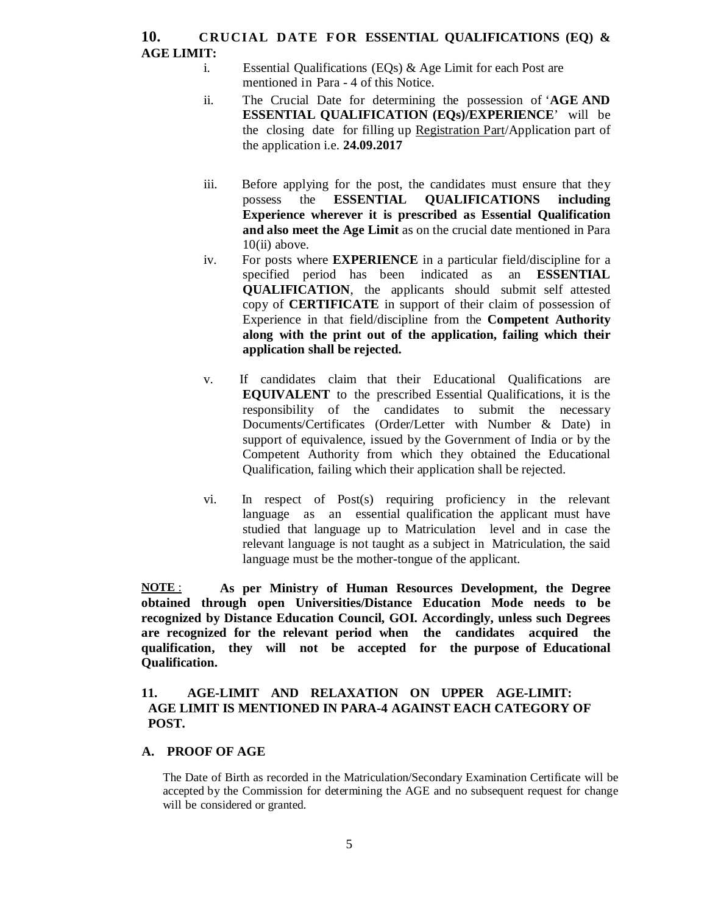# **10.** CRUCIAL DATE FOR ESSENTIAL QUALIFICATIONS (EQ) & **AGE LIMIT:**

- i. Essential Qualifications (EQs) & Age Limit for each Post are mentioned in Para - 4 of this Notice.
- ii. The Crucial Date for determining the possession of '**AGE AND ESSENTIAL QUALIFICATION (EQs)/EXPERIENCE**' will be the closing date for filling up Registration Part/Application part of the application i.e. **24.09.2017**
- iii. Before applying for the post, the candidates must ensure that they possess the **ESSENTIAL QUALIFICATIONS including Experience wherever it is prescribed as Essential Qualification and also meet the Age Limit** as on the crucial date mentioned in Para  $10$ (ii) above.
- iv. For posts where **EXPERIENCE** in a particular field/discipline for a specified period has been indicated as an **ESSENTIAL QUALIFICATION**, the applicants should submit self attested copy of **CERTIFICATE** in support of their claim of possession of Experience in that field/discipline from the **Competent Authority along with the print out of the application, failing which their application shall be rejected.**
- v.If candidates claim that their Educational Qualifications are **EQUIVALENT** to the prescribed Essential Qualifications, it is the responsibility of the candidates to submit the necessary Documents/Certificates (Order/Letter with Number & Date) in support of equivalence, issued by the Government of India or by the Competent Authority from which they obtained the Educational Qualification, failing which their application shall be rejected.
- vi. In respect of Post(s) requiring proficiency in the relevant language as an essential qualification the applicant must have studied that language up to Matriculation level and in case the relevant language is not taught as a subject in Matriculation, the said language must be the mother-tongue of the applicant.

**NOTE** : **As per Ministry of Human Resources Development, the Degree obtained through open Universities/Distance Education Mode needs to be recognized by Distance Education Council, GOI. Accordingly, unless such Degrees are recognized for the relevant period when the candidates acquired the qualification, they will not be accepted for the purpose of Educational Qualification.** 

### **11. AGE-LIMIT AND RELAXATION ON UPPER AGE-LIMIT: AGE LIMIT IS MENTIONED IN PARA-4 AGAINST EACH CATEGORY OF POST.**

### **A. PROOF OF AGE**

The Date of Birth as recorded in the Matriculation/Secondary Examination Certificate will be accepted by the Commission for determining the AGE and no subsequent request for change will be considered or granted.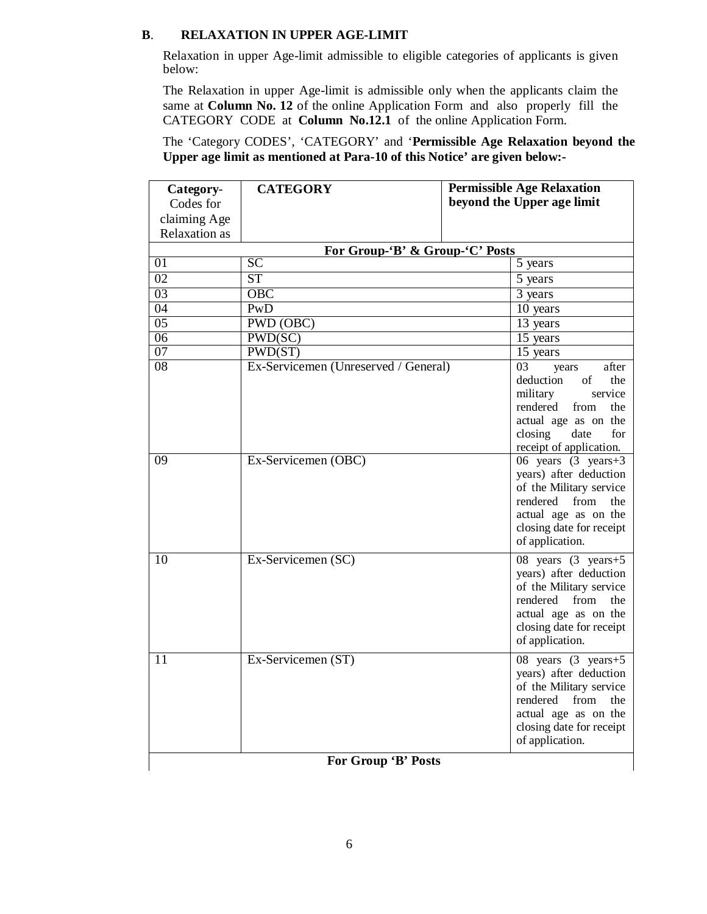### **B**. **RELAXATION IN UPPER AGE-LIMIT**

Relaxation in upper Age-limit admissible to eligible categories of applicants is given below:

The Relaxation in upper Age-limit is admissible only when the applicants claim the same at **Column No. 12** of the online Application Form and also properly fill the CATEGORY CODE at **Column No.12.1** of the online Application Form.

The 'Category CODES', 'CATEGORY' and '**Permissible Age Relaxation beyond the Upper age limit as mentioned at Para-10 of this Notice' are given below:-** 

| Category-<br>Codes for | <b>CATEGORY</b>                      | <b>Permissible Age Relaxation</b><br>beyond the Upper age limit                                                                                                                                   |
|------------------------|--------------------------------------|---------------------------------------------------------------------------------------------------------------------------------------------------------------------------------------------------|
| claiming Age           |                                      |                                                                                                                                                                                                   |
| <b>Relaxation</b> as   |                                      |                                                                                                                                                                                                   |
|                        | For Group-'B' & Group-'C' Posts      |                                                                                                                                                                                                   |
| 01                     | $\overline{SC}$                      | 5 years                                                                                                                                                                                           |
| $\overline{02}$        | $\overline{\text{ST}}$               | 5 years                                                                                                                                                                                           |
| $\overline{03}$        | $\overline{OBC}$                     | 3 years                                                                                                                                                                                           |
| 04                     | PwD                                  | 10 years                                                                                                                                                                                          |
| $\overline{05}$        | PWD (OBC)                            | 13 years                                                                                                                                                                                          |
| 06                     | PWD(SC)                              | $\overline{15}$ years                                                                                                                                                                             |
| 07                     | PWD(ST)                              | 15 years                                                                                                                                                                                          |
| 08                     | Ex-Servicemen (Unreserved / General) | 03<br>after<br>vears<br>deduction<br>of<br>the<br>military<br>service<br>rendered<br>from<br>the<br>actual age as on the<br>closing<br>date<br>for<br>receipt of application.                     |
| 09                     | Ex-Servicemen (OBC)                  | 06 years $(3 \text{ years} + 3)$<br>years) after deduction<br>of the Military service<br>rendered<br>from<br>the<br>actual age as on the<br>closing date for receipt<br>of application.           |
| 10                     | Ex-Servicemen (SC)                   | $\overline{08}$ years $(3 \text{ years} + 5)$<br>years) after deduction<br>of the Military service<br>rendered from<br>the<br>actual age as on the<br>closing date for receipt<br>of application. |
| 11                     | Ex-Servicemen (ST)                   | 08 years $(3 \text{ years} + 5)$<br>years) after deduction<br>of the Military service<br>from<br>the<br>rendered<br>actual age as on the<br>closing date for receipt<br>of application.           |

### **For Group 'B' Posts**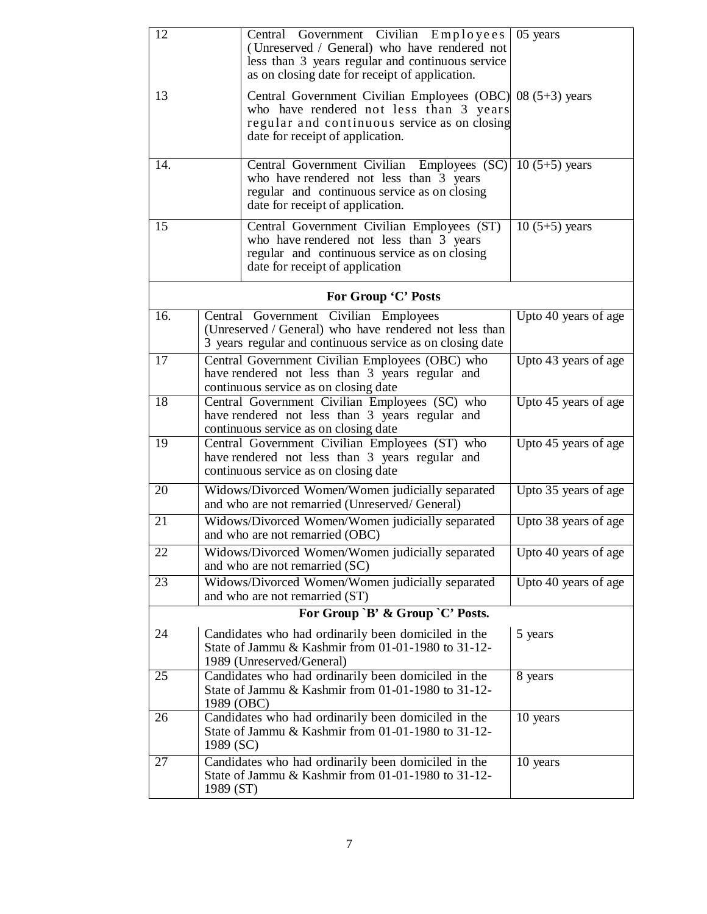| 12  | Central Government Civilian Employees<br>(Unreserved / General) who have rendered not<br>less than 3 years regular and continuous service<br>as on closing date for receipt of application. | 05 years             |
|-----|---------------------------------------------------------------------------------------------------------------------------------------------------------------------------------------------|----------------------|
| 13  | Central Government Civilian Employees (OBC) 08 (5+3) years<br>who have rendered not less than 3 years<br>regular and continuous service as on closing<br>date for receipt of application.   |                      |
| 14. | Central Government Civilian Employees (SC)<br>who have rendered not less than 3 years<br>regular and continuous service as on closing<br>date for receipt of application.                   | $10(5+5)$ years      |
| 15  | Central Government Civilian Employees (ST)<br>who have rendered not less than 3 years<br>regular and continuous service as on closing<br>date for receipt of application                    | $10(5+5)$ years      |
|     | For Group 'C' Posts                                                                                                                                                                         |                      |
| 16. | Central Government Civilian Employees<br>(Unreserved / General) who have rendered not less than<br>3 years regular and continuous service as on closing date                                | Upto 40 years of age |
| 17  | Central Government Civilian Employees (OBC) who<br>have rendered not less than 3 years regular and<br>continuous service as on closing date                                                 | Upto 43 years of age |
| 18  | Central Government Civilian Employees (SC) who<br>have rendered not less than 3 years regular and<br>continuous service as on closing date                                                  | Upto 45 years of age |
| 19  | Central Government Civilian Employees (ST) who<br>have rendered not less than 3 years regular and<br>continuous service as on closing date                                                  | Upto 45 years of age |
| 20  | Widows/Divorced Women/Women judicially separated<br>and who are not remarried (Unreserved/General)                                                                                          | Upto 35 years of age |
| 21  | Widows/Divorced Women/Women judicially separated<br>and who are not remarried (OBC)                                                                                                         | Upto 38 years of age |
| 22  | Widows/Divorced Women/Women judicially separated<br>and who are not remarried (SC)                                                                                                          | Upto 40 years of age |
| 23  | Widows/Divorced Women/Women judicially separated<br>and who are not remarried (ST)                                                                                                          | Upto 40 years of age |
|     | For Group `B' & Group `C' Posts.                                                                                                                                                            |                      |
| 24  | Candidates who had ordinarily been domiciled in the<br>State of Jammu & Kashmir from 01-01-1980 to 31-12-<br>1989 (Unreserved/General)                                                      | 5 years              |
| 25  | Candidates who had ordinarily been domiciled in the<br>State of Jammu & Kashmir from 01-01-1980 to 31-12-<br>1989 (OBC)                                                                     | 8 years              |
| 26  | Candidates who had ordinarily been domiciled in the<br>State of Jammu & Kashmir from 01-01-1980 to 31-12-<br>1989 (SC)                                                                      | 10 years             |
| 27  | Candidates who had ordinarily been domiciled in the<br>State of Jammu & Kashmir from 01-01-1980 to 31-12-<br>1989 (ST)                                                                      | 10 years             |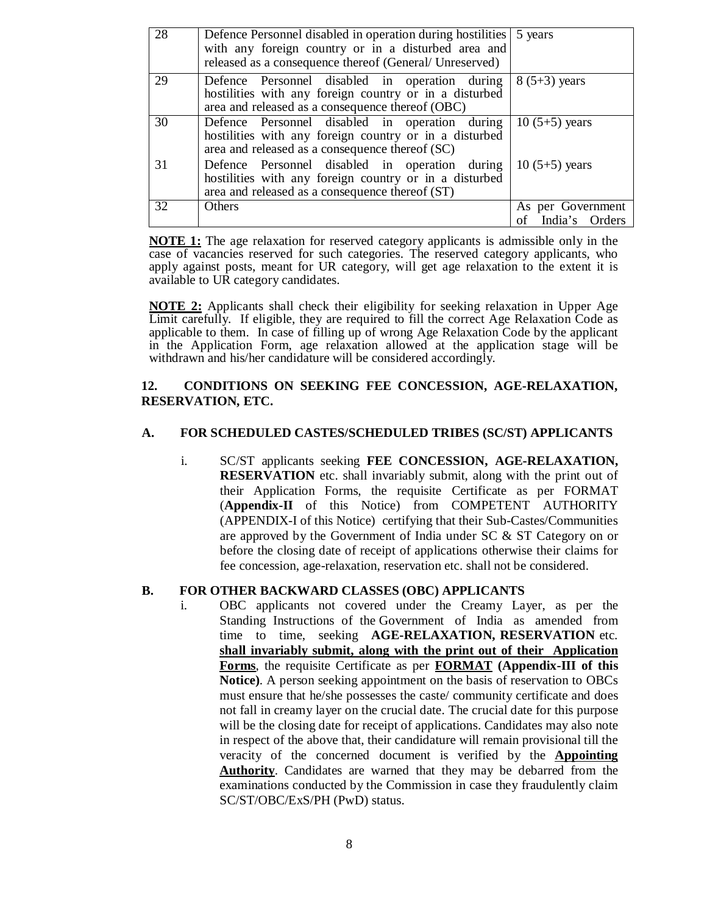| 28 | Defence Personnel disabled in operation during hostilities 5 years<br>with any foreign country or in a disturbed area and<br>released as a consequence thereof (General/ Unreserved) |                                        |
|----|--------------------------------------------------------------------------------------------------------------------------------------------------------------------------------------|----------------------------------------|
| 29 | Defence Personnel disabled in operation during<br>hostilities with any foreign country or in a disturbed<br>area and released as a consequence thereof (OBC)                         | $8(5+3)$ years                         |
| 30 | Defence Personnel disabled in operation during<br>hostilities with any foreign country or in a disturbed<br>area and released as a consequence thereof (SC)                          | $10(5+5)$ years                        |
| 31 | Defence Personnel disabled in operation during<br>hostilities with any foreign country or in a disturbed<br>area and released as a consequence thereof (ST)                          | $10(5+5)$ years                        |
| 32 | Others                                                                                                                                                                               | As per Government<br>of India's Orders |

**NOTE 1:** The age relaxation for reserved category applicants is admissible only in the case of vacancies reserved for such categories. The reserved category applicants, who apply against posts, meant for UR category, will get age relaxation to the extent it is available to UR category candidates.

**NOTE 2:** Applicants shall check their eligibility for seeking relaxation in Upper Age Limit carefully. If eligible, they are required to fill the correct Age Relaxation Code as applicable to them. In case of filling up of wrong Age Relaxation Code by the applicant in the Application Form, age relaxation allowed at the application stage will be withdrawn and his/her candidature will be considered accordingly.

### **12. CONDITIONS ON SEEKING FEE CONCESSION, AGE-RELAXATION, RESERVATION, ETC.**

### **A. FOR SCHEDULED CASTES/SCHEDULED TRIBES (SC/ST) APPLICANTS**

i. SC/ST applicants seeking **FEE CONCESSION, AGE-RELAXATION, RESERVATION** etc. shall invariably submit, along with the print out of their Application Forms, the requisite Certificate as per FORMAT (**Appendix-II** of this Notice) from COMPETENT AUTHORITY (APPENDIX-I of this Notice) certifying that their Sub-Castes/Communities are approved by the Government of India under SC & ST Category on or before the closing date of receipt of applications otherwise their claims for fee concession, age-relaxation, reservation etc. shall not be considered.

### **B. FOR OTHER BACKWARD CLASSES (OBC) APPLICANTS**

i. OBC applicants not covered under the Creamy Layer, as per the Standing Instructions of the Government of India as amended from time to time, seeking **AGE-RELAXATION, RESERVATION** etc. **shall invariably submit, along with the print out of their Application Forms**, the requisite Certificate as per **FORMAT (Appendix-III of this Notice)**. A person seeking appointment on the basis of reservation to OBCs must ensure that he/she possesses the caste/ community certificate and does not fall in creamy layer on the crucial date. The crucial date for this purpose will be the closing date for receipt of applications. Candidates may also note in respect of the above that, their candidature will remain provisional till the veracity of the concerned document is verified by the **Appointing Authority**. Candidates are warned that they may be debarred from the examinations conducted by the Commission in case they fraudulently claim SC/ST/OBC/ExS/PH (PwD) status.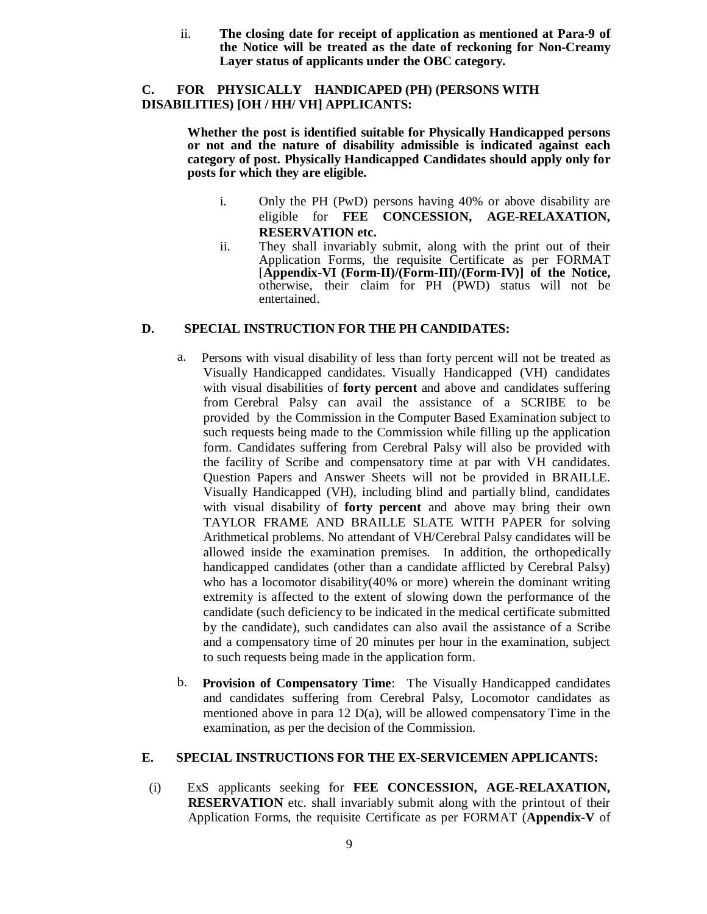ii. **The closing date for receipt of application as mentioned at Para-9 of the Notice will be treated as the date of reckoning for Non-Creamy Layer status of applicants under the OBC category.** 

### **C. FOR PHYSICALLY HANDICAPED (PH) (PERSONS WITH DISABILITIES) [OH / HH/ VH] APPLICANTS:**

**Whether the post is identified suitable for Physically Handicapped persons or not and the nature of disability admissible is indicated against each category of post. Physically Handicapped Candidates should apply only for posts for which they are eligible.** 

- i. Only the PH (PwD) persons having 40% or above disability are eligible for **FEE CONCESSION, AGE-RELAXATION, RESERVATION etc.**
- ii. They shall invariably submit, along with the print out of their Application Forms, the requisite Certificate as per FORMAT [**Appendix-VI (Form-II)/(Form-III)/(Form-IV)] of the Notice,**  otherwise, their claim for PH (PWD) status will not be entertained.

### **D. SPECIAL INSTRUCTION FOR THE PH CANDIDATES:**

- a. Persons with visual disability of less than forty percent will not be treated as Visually Handicapped candidates. Visually Handicapped (VH) candidates with visual disabilities of **forty percent** and above and candidates suffering from Cerebral Palsy can avail the assistance of a SCRIBE to be provided by the Commission in the Computer Based Examination subject to such requests being made to the Commission while filling up the application form. Candidates suffering from Cerebral Palsy will also be provided with the facility of Scribe and compensatory time at par with VH candidates. Question Papers and Answer Sheets will not be provided in BRAILLE. Visually Handicapped (VH), including blind and partially blind, candidates with visual disability of **forty percent** and above may bring their own TAYLOR FRAME AND BRAILLE SLATE WITH PAPER for solving Arithmetical problems. No attendant of VH/Cerebral Palsy candidates will be allowed inside the examination premises. In addition, the orthopedically handicapped candidates (other than a candidate afflicted by Cerebral Palsy) who has a locomotor disability(40% or more) wherein the dominant writing extremity is affected to the extent of slowing down the performance of the candidate (such deficiency to be indicated in the medical certificate submitted by the candidate), such candidates can also avail the assistance of a Scribe and a compensatory time of 20 minutes per hour in the examination, subject to such requests being made in the application form.
- b. **Provision of Compensatory Time**: The Visually Handicapped candidates and candidates suffering from Cerebral Palsy, Locomotor candidates as mentioned above in para 12  $D(a)$ , will be allowed compensatory Time in the examination, as per the decision of the Commission.

### **E. SPECIAL INSTRUCTIONS FOR THE EX-SERVICEMEN APPLICANTS:**

(i) ExS applicants seeking for **FEE CONCESSION, AGE-RELAXATION, RESERVATION** etc. shall invariably submit along with the printout of their Application Forms, the requisite Certificate as per FORMAT (**Appendix-V** of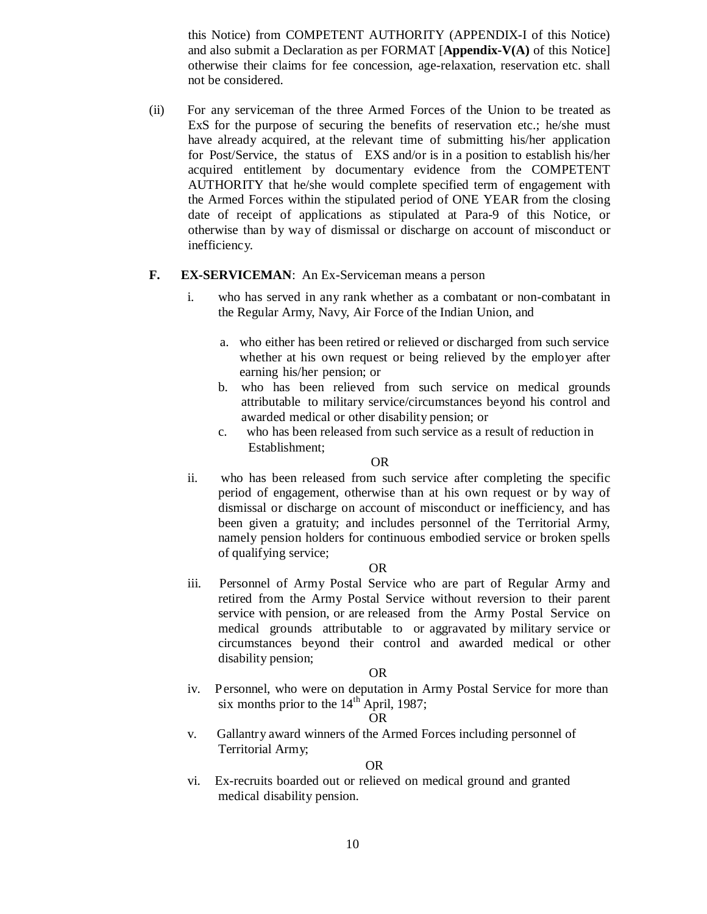this Notice) from COMPETENT AUTHORITY (APPENDIX-I of this Notice) and also submit a Declaration as per FORMAT [**Appendix-V(A)** of this Notice] otherwise their claims for fee concession, age-relaxation, reservation etc. shall not be considered.

(ii) For any serviceman of the three Armed Forces of the Union to be treated as ExS for the purpose of securing the benefits of reservation etc.; he/she must have already acquired, at the relevant time of submitting his/her application for Post/Service, the status of EXS and/or is in a position to establish his/her acquired entitlement by documentary evidence from the COMPETENT AUTHORITY that he/she would complete specified term of engagement with the Armed Forces within the stipulated period of ONE YEAR from the closing date of receipt of applications as stipulated at Para-9 of this Notice, or otherwise than by way of dismissal or discharge on account of misconduct or inefficiency.

#### **F. EX-SERVICEMAN**: An Ex-Serviceman means a person

- i. who has served in any rank whether as a combatant or non-combatant in the Regular Army, Navy, Air Force of the Indian Union, and
	- a. who either has been retired or relieved or discharged from such service whether at his own request or being relieved by the employer after earning his/her pension; or
	- b. who has been relieved from such service on medical grounds attributable to military service/circumstances beyond his control and awarded medical or other disability pension; or
	- c. who has been released from such service as a result of reduction in Establishment;

#### OR

ii. who has been released from such service after completing the specific period of engagement, otherwise than at his own request or by way of dismissal or discharge on account of misconduct or inefficiency, and has been given a gratuity; and includes personnel of the Territorial Army, namely pension holders for continuous embodied service or broken spells of qualifying service;

#### OR

iii. Personnel of Army Postal Service who are part of Regular Army and retired from the Army Postal Service without reversion to their parent service with pension, or are released from the Army Postal Service on medical grounds attributable to or aggravated by military service or circumstances beyond their control and awarded medical or other disability pension;

#### OR

iv. Personnel, who were on deputation in Army Postal Service for more than six months prior to the  $14<sup>th</sup>$  April, 1987;

#### OR

v. Gallantry award winners of the Armed Forces including personnel of Territorial Army;

#### OR

vi. Ex-recruits boarded out or relieved on medical ground and granted medical disability pension.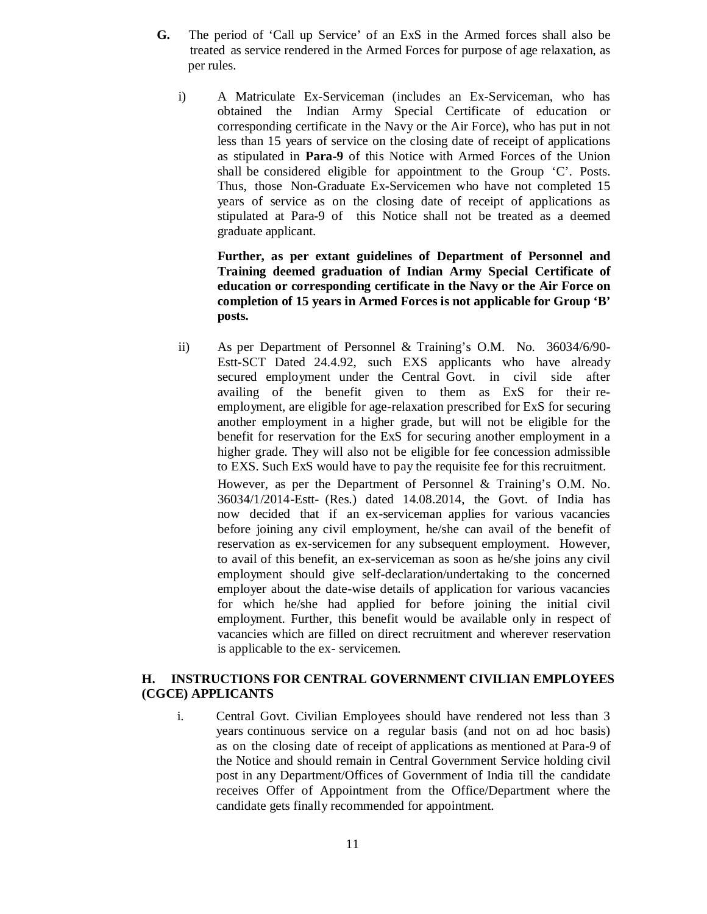- **G.** The period of 'Call up Service' of an ExS in the Armed forces shall also be treated as service rendered in the Armed Forces for purpose of age relaxation, as per rules.
	- i) A Matriculate Ex-Serviceman (includes an Ex-Serviceman, who has obtained the Indian Army Special Certificate of education or corresponding certificate in the Navy or the Air Force), who has put in not less than 15 years of service on the closing date of receipt of applications as stipulated in **Para-9** of this Notice with Armed Forces of the Union shall be considered eligible for appointment to the Group 'C'. Posts. Thus, those Non-Graduate Ex-Servicemen who have not completed 15 years of service as on the closing date of receipt of applications as stipulated at Para-9 of this Notice shall not be treated as a deemed graduate applicant.

**Further, as per extant guidelines of Department of Personnel and Training deemed graduation of Indian Army Special Certificate of education or corresponding certificate in the Navy or the Air Force on completion of 15 years in Armed Forces is not applicable for Group 'B' posts.** 

ii) As per Department of Personnel & Training's O.M. No. 36034/6/90- Estt-SCT Dated 24.4.92, such EXS applicants who have already secured employment under the Central Govt. in civil side after availing of the benefit given to them as ExS for their reemployment, are eligible for age-relaxation prescribed for ExS for securing another employment in a higher grade, but will not be eligible for the benefit for reservation for the ExS for securing another employment in a higher grade. They will also not be eligible for fee concession admissible to EXS. Such ExS would have to pay the requisite fee for this recruitment. However, as per the Department of Personnel & Training's O.M. No. 36034/1/2014-Estt- (Res.) dated 14.08.2014, the Govt. of India has now decided that if an ex-serviceman applies for various vacancies before joining any civil employment, he/she can avail of the benefit of reservation as ex-servicemen for any subsequent employment. However, to avail of this benefit, an ex-serviceman as soon as he/she joins any civil employment should give self-declaration/undertaking to the concerned employer about the date-wise details of application for various vacancies for which he/she had applied for before joining the initial civil employment. Further, this benefit would be available only in respect of vacancies which are filled on direct recruitment and wherever reservation is applicable to the ex- servicemen.

### **H. INSTRUCTIONS FOR CENTRAL GOVERNMENT CIVILIAN EMPLOYEES (CGCE) APPLICANTS**

i. Central Govt. Civilian Employees should have rendered not less than 3 years continuous service on a regular basis (and not on ad hoc basis) as on the closing date of receipt of applications as mentioned at Para-9 of the Notice and should remain in Central Government Service holding civil post in any Department/Offices of Government of India till the candidate receives Offer of Appointment from the Office/Department where the candidate gets finally recommended for appointment.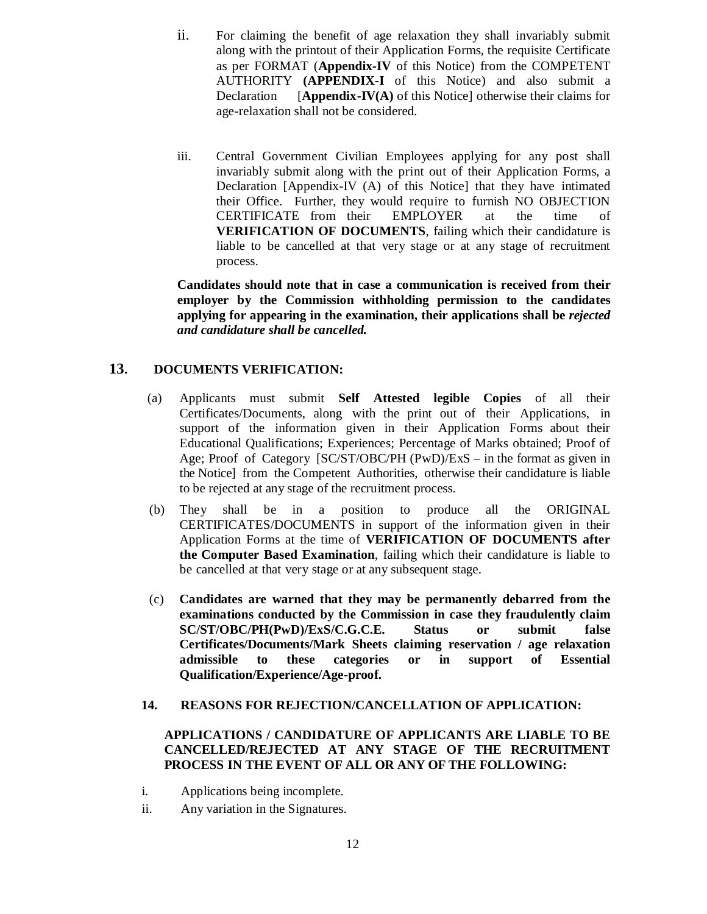- ii. For claiming the benefit of age relaxation they shall invariably submit along with the printout of their Application Forms, the requisite Certificate as per FORMAT (**Appendix-IV** of this Notice) from the COMPETENT AUTHORITY **(APPENDIX-I** of this Notice) and also submit a Declaration [**Appendix-IV(A)** of this Notice] otherwise their claims for age-relaxation shall not be considered.
- iii. Central Government Civilian Employees applying for any post shall invariably submit along with the print out of their Application Forms, a Declaration [Appendix-IV (A) of this Notice] that they have intimated their Office. Further, they would require to furnish NO OBJECTION CERTIFICATE from their EMPLOYER at the time of **VERIFICATION OF DOCUMENTS**, failing which their candidature is liable to be cancelled at that very stage or at any stage of recruitment process.

**Candidates should note that in case a communication is received from their employer by the Commission withholding permission to the candidates applying for appearing in the examination, their applications shall be** *rejected and candidature shall be cancelled.* 

### **13. DOCUMENTS VERIFICATION:**

- (a) Applicants must submit **Self Attested legible Copies** of all their Certificates/Documents, along with the print out of their Applications, in support of the information given in their Application Forms about their Educational Qualifications; Experiences; Percentage of Marks obtained; Proof of Age; Proof of Category [SC/ST/OBC/PH (PwD)/ExS – in the format as given in the Notice] from the Competent Authorities, otherwise their candidature is liable to be rejected at any stage of the recruitment process.
- (b) They shall be in a position to produce all the ORIGINAL CERTIFICATES/DOCUMENTS in support of the information given in their Application Forms at the time of **VERIFICATION OF DOCUMENTS after the Computer Based Examination**, failing which their candidature is liable to be cancelled at that very stage or at any subsequent stage.
- (c) **Candidates are warned that they may be permanently debarred from the examinations conducted by the Commission in case they fraudulently claim SC/ST/OBC/PH(PwD)/ExS/C.G.C.E. Status or submit false Certificates/Documents/Mark Sheets claiming reservation / age relaxation admissible to these categories or in support of Essential Qualification/Experience/Age-proof.**

#### **14. REASONS FOR REJECTION/CANCELLATION OF APPLICATION:**

### **APPLICATIONS / CANDIDATURE OF APPLICANTS ARE LIABLE TO BE CANCELLED/REJECTED AT ANY STAGE OF THE RECRUITMENT PROCESS IN THE EVENT OF ALL OR ANY OF THE FOLLOWING:**

- i. Applications being incomplete.
- ii. Any variation in the Signatures.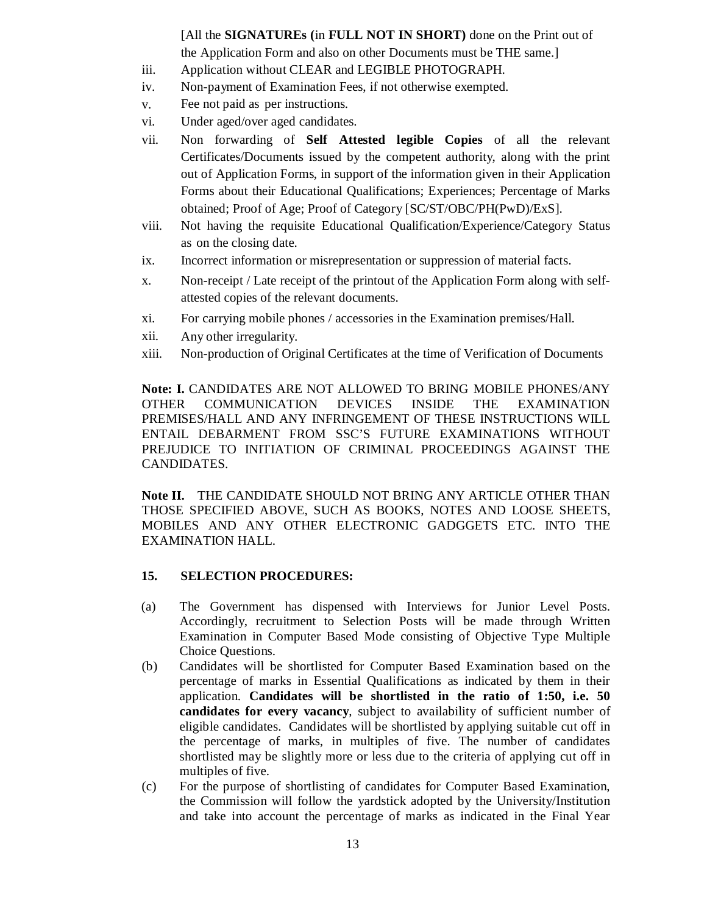[All the **SIGNATUREs (**in **FULL NOT IN SHORT)** done on the Print out of the Application Form and also on other Documents must be THE same.]

- iii. Application without CLEAR and LEGIBLE PHOTOGRAPH.
- iv. Non-payment of Examination Fees, if not otherwise exempted.
- v. Fee not paid as per instructions.
- vi. Under aged/over aged candidates.
- vii. Non forwarding of **Self Attested legible Copies** of all the relevant Certificates/Documents issued by the competent authority, along with the print out of Application Forms, in support of the information given in their Application Forms about their Educational Qualifications; Experiences; Percentage of Marks obtained; Proof of Age; Proof of Category [SC/ST/OBC/PH(PwD)/ExS].
- viii. Not having the requisite Educational Qualification/Experience/Category Status as on the closing date.
- ix. Incorrect information or misrepresentation or suppression of material facts.
- x. Non-receipt / Late receipt of the printout of the Application Form along with selfattested copies of the relevant documents.
- xi. For carrying mobile phones / accessories in the Examination premises/Hall.
- xii. Any other irregularity.
- xiii. Non-production of Original Certificates at the time of Verification of Documents

**Note: I.** CANDIDATES ARE NOT ALLOWED TO BRING MOBILE PHONES/ANY OTHER COMMUNICATION DEVICES INSIDE THE EXAMINATION PREMISES/HALL AND ANY INFRINGEMENT OF THESE INSTRUCTIONS WILL ENTAIL DEBARMENT FROM SSC'S FUTURE EXAMINATIONS WITHOUT PREJUDICE TO INITIATION OF CRIMINAL PROCEEDINGS AGAINST THE CANDIDATES.

**Note II.** THE CANDIDATE SHOULD NOT BRING ANY ARTICLE OTHER THAN THOSE SPECIFIED ABOVE, SUCH AS BOOKS, NOTES AND LOOSE SHEETS, MOBILES AND ANY OTHER ELECTRONIC GADGGETS ETC. INTO THE EXAMINATION HALL.

#### **15. SELECTION PROCEDURES:**

- (a) The Government has dispensed with Interviews for Junior Level Posts. Accordingly, recruitment to Selection Posts will be made through Written Examination in Computer Based Mode consisting of Objective Type Multiple Choice Questions.
- (b) Candidates will be shortlisted for Computer Based Examination based on the percentage of marks in Essential Qualifications as indicated by them in their application. **Candidates will be shortlisted in the ratio of 1:50, i.e. 50 candidates for every vacancy**, subject to availability of sufficient number of eligible candidates. Candidates will be shortlisted by applying suitable cut off in the percentage of marks, in multiples of five. The number of candidates shortlisted may be slightly more or less due to the criteria of applying cut off in multiples of five.
- (c) For the purpose of shortlisting of candidates for Computer Based Examination, the Commission will follow the yardstick adopted by the University/Institution and take into account the percentage of marks as indicated in the Final Year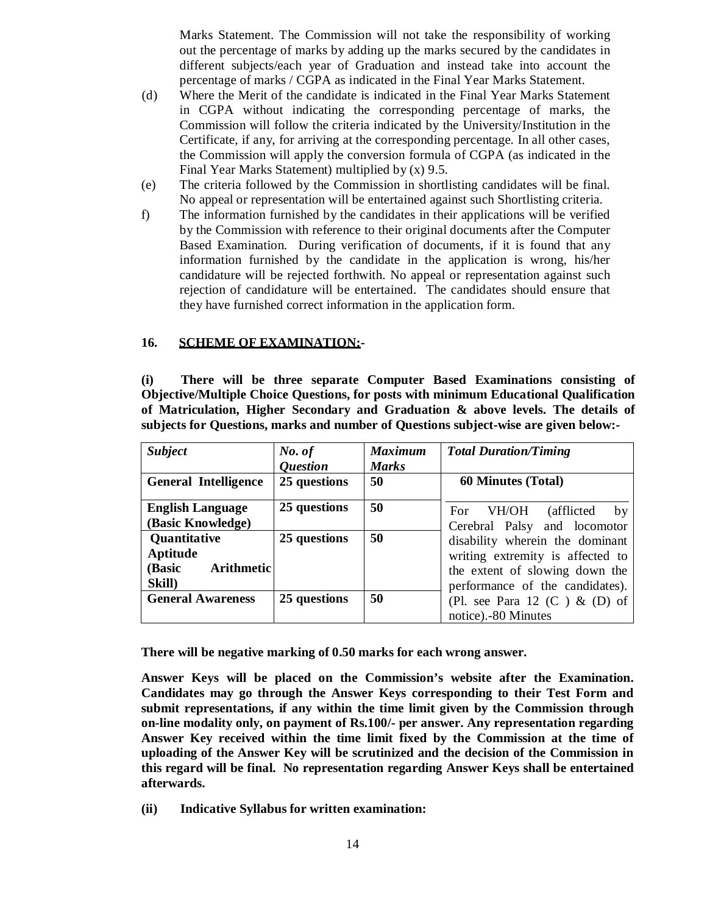Marks Statement. The Commission will not take the responsibility of working out the percentage of marks by adding up the marks secured by the candidates in different subjects/each year of Graduation and instead take into account the percentage of marks / CGPA as indicated in the Final Year Marks Statement.

- (d) Where the Merit of the candidate is indicated in the Final Year Marks Statement in CGPA without indicating the corresponding percentage of marks, the Commission will follow the criteria indicated by the University/Institution in the Certificate, if any, for arriving at the corresponding percentage. In all other cases, the Commission will apply the conversion formula of CGPA (as indicated in the Final Year Marks Statement) multiplied by (x) 9.5.
- (e) The criteria followed by the Commission in shortlisting candidates will be final. No appeal or representation will be entertained against such Shortlisting criteria.
- f) The information furnished by the candidates in their applications will be verified by the Commission with reference to their original documents after the Computer Based Examination. During verification of documents, if it is found that any information furnished by the candidate in the application is wrong, his/her candidature will be rejected forthwith. No appeal or representation against such rejection of candidature will be entertained. The candidates should ensure that they have furnished correct information in the application form.

#### **16. SCHEME OF EXAMINATION:-**

**(i) There will be three separate Computer Based Examinations consisting of Objective/Multiple Choice Questions, for posts with minimum Educational Qualification of Matriculation, Higher Secondary and Graduation & above levels. The details of subjects for Questions, marks and number of Questions subject-wise are given below:-** 

| <b>Subject</b>              | No. of                 | <b>Maximum</b> | <b>Total Duration/Timing</b>      |
|-----------------------------|------------------------|----------------|-----------------------------------|
|                             | <i><b>Ouestion</b></i> | <b>Marks</b>   |                                   |
| <b>General Intelligence</b> | 25 questions           | 50             | <b>60 Minutes (Total)</b>         |
|                             |                        |                |                                   |
| <b>English Language</b>     | 25 questions           | 50             | VH/OH<br>(afflicted)<br>For<br>by |
| (Basic Knowledge)           |                        |                | Cerebral Palsy and locomotor      |
| <b>Quantitative</b>         | 25 questions           | 50             | disability wherein the dominant   |
| Aptitude                    |                        |                | writing extremity is affected to  |
| <b>Arithmetic</b><br>(Basic |                        |                | the extent of slowing down the    |
| Skill)                      |                        |                | performance of the candidates).   |
| <b>General Awareness</b>    | 25 questions           | 50             | (Pl. see Para 12 $(C)$ & $(D)$ of |
|                             |                        |                | notice). - 80 Minutes             |

**There will be negative marking of 0.50 marks for each wrong answer.** 

**Answer Keys will be placed on the Commission's website after the Examination. Candidates may go through the Answer Keys corresponding to their Test Form and submit representations, if any within the time limit given by the Commission through on-line modality only, on payment of Rs.100/- per answer. Any representation regarding Answer Key received within the time limit fixed by the Commission at the time of uploading of the Answer Key will be scrutinized and the decision of the Commission in this regard will be final. No representation regarding Answer Keys shall be entertained afterwards.** 

**(ii) Indicative Syllabus for written examination:**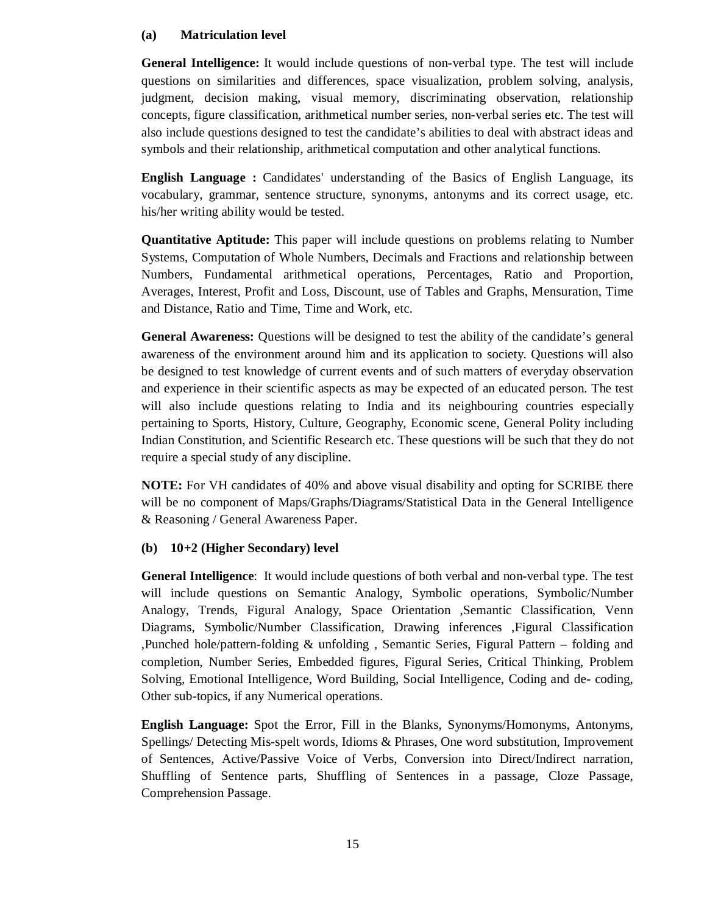### **(a) Matriculation level**

**General Intelligence:** It would include questions of non-verbal type. The test will include questions on similarities and differences, space visualization, problem solving, analysis, judgment, decision making, visual memory, discriminating observation, relationship concepts, figure classification, arithmetical number series, non-verbal series etc. The test will also include questions designed to test the candidate's abilities to deal with abstract ideas and symbols and their relationship, arithmetical computation and other analytical functions.

**English Language :** Candidates' understanding of the Basics of English Language, its vocabulary, grammar, sentence structure, synonyms, antonyms and its correct usage, etc. his/her writing ability would be tested.

**Quantitative Aptitude:** This paper will include questions on problems relating to Number Systems, Computation of Whole Numbers, Decimals and Fractions and relationship between Numbers, Fundamental arithmetical operations, Percentages, Ratio and Proportion, Averages, Interest, Profit and Loss, Discount, use of Tables and Graphs, Mensuration, Time and Distance, Ratio and Time, Time and Work, etc.

**General Awareness:** Questions will be designed to test the ability of the candidate's general awareness of the environment around him and its application to society. Questions will also be designed to test knowledge of current events and of such matters of everyday observation and experience in their scientific aspects as may be expected of an educated person. The test will also include questions relating to India and its neighbouring countries especially pertaining to Sports, History, Culture, Geography, Economic scene, General Polity including Indian Constitution, and Scientific Research etc. These questions will be such that they do not require a special study of any discipline.

**NOTE:** For VH candidates of 40% and above visual disability and opting for SCRIBE there will be no component of Maps/Graphs/Diagrams/Statistical Data in the General Intelligence & Reasoning / General Awareness Paper.

# **(b) 10+2 (Higher Secondary) level**

**General Intelligence**: It would include questions of both verbal and non-verbal type. The test will include questions on Semantic Analogy, Symbolic operations, Symbolic/Number Analogy, Trends, Figural Analogy, Space Orientation ,Semantic Classification, Venn Diagrams, Symbolic/Number Classification, Drawing inferences ,Figural Classification ,Punched hole/pattern-folding & unfolding , Semantic Series, Figural Pattern – folding and completion, Number Series, Embedded figures, Figural Series, Critical Thinking, Problem Solving, Emotional Intelligence, Word Building, Social Intelligence, Coding and de- coding, Other sub-topics, if any Numerical operations.

**English Language:** Spot the Error, Fill in the Blanks, Synonyms/Homonyms, Antonyms, Spellings/ Detecting Mis-spelt words, Idioms & Phrases, One word substitution, Improvement of Sentences, Active/Passive Voice of Verbs, Conversion into Direct/Indirect narration, Shuffling of Sentence parts, Shuffling of Sentences in a passage, Cloze Passage, Comprehension Passage.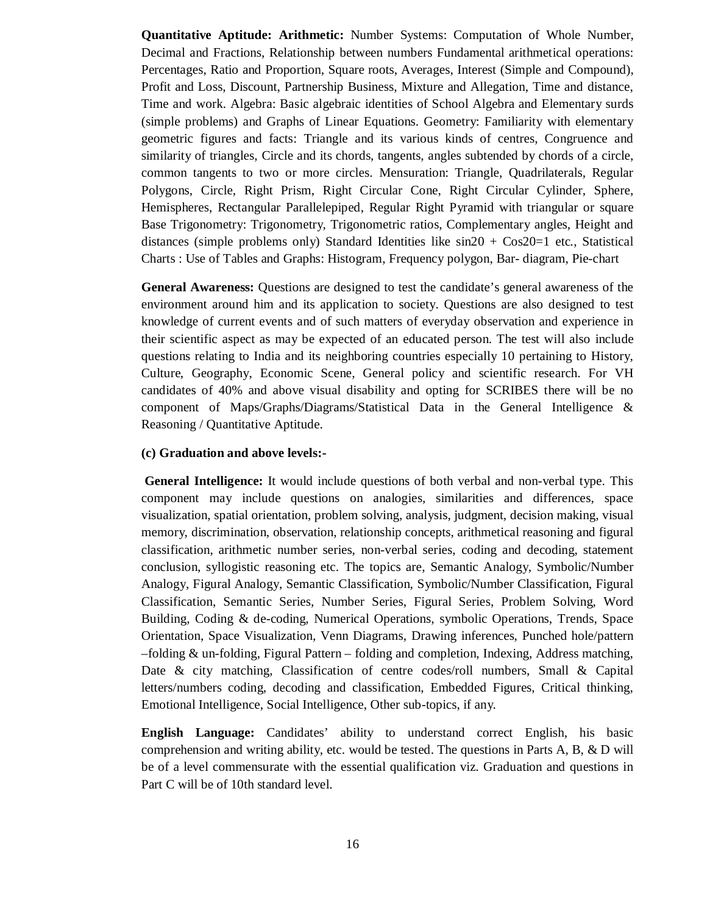**Quantitative Aptitude: Arithmetic:** Number Systems: Computation of Whole Number, Decimal and Fractions, Relationship between numbers Fundamental arithmetical operations: Percentages, Ratio and Proportion, Square roots, Averages, Interest (Simple and Compound), Profit and Loss, Discount, Partnership Business, Mixture and Allegation, Time and distance, Time and work. Algebra: Basic algebraic identities of School Algebra and Elementary surds (simple problems) and Graphs of Linear Equations. Geometry: Familiarity with elementary geometric figures and facts: Triangle and its various kinds of centres, Congruence and similarity of triangles, Circle and its chords, tangents, angles subtended by chords of a circle, common tangents to two or more circles. Mensuration: Triangle, Quadrilaterals, Regular Polygons, Circle, Right Prism, Right Circular Cone, Right Circular Cylinder, Sphere, Hemispheres, Rectangular Parallelepiped, Regular Right Pyramid with triangular or square Base Trigonometry: Trigonometry, Trigonometric ratios, Complementary angles, Height and distances (simple problems only) Standard Identities like  $sin20 + Cos20=1$  etc., Statistical Charts : Use of Tables and Graphs: Histogram, Frequency polygon, Bar- diagram, Pie-chart

**General Awareness:** Questions are designed to test the candidate's general awareness of the environment around him and its application to society. Questions are also designed to test knowledge of current events and of such matters of everyday observation and experience in their scientific aspect as may be expected of an educated person. The test will also include questions relating to India and its neighboring countries especially 10 pertaining to History, Culture, Geography, Economic Scene, General policy and scientific research. For VH candidates of 40% and above visual disability and opting for SCRIBES there will be no component of Maps/Graphs/Diagrams/Statistical Data in the General Intelligence & Reasoning / Quantitative Aptitude.

#### **(c) Graduation and above levels:-**

 **General Intelligence:** It would include questions of both verbal and non-verbal type. This component may include questions on analogies, similarities and differences, space visualization, spatial orientation, problem solving, analysis, judgment, decision making, visual memory, discrimination, observation, relationship concepts, arithmetical reasoning and figural classification, arithmetic number series, non-verbal series, coding and decoding, statement conclusion, syllogistic reasoning etc. The topics are, Semantic Analogy, Symbolic/Number Analogy, Figural Analogy, Semantic Classification, Symbolic/Number Classification, Figural Classification, Semantic Series, Number Series, Figural Series, Problem Solving, Word Building, Coding & de-coding, Numerical Operations, symbolic Operations, Trends, Space Orientation, Space Visualization, Venn Diagrams, Drawing inferences, Punched hole/pattern –folding & un-folding, Figural Pattern – folding and completion, Indexing, Address matching, Date & city matching, Classification of centre codes/roll numbers, Small & Capital letters/numbers coding, decoding and classification, Embedded Figures, Critical thinking, Emotional Intelligence, Social Intelligence, Other sub-topics, if any.

**English Language:** Candidates' ability to understand correct English, his basic comprehension and writing ability, etc. would be tested. The questions in Parts A, B, & D will be of a level commensurate with the essential qualification viz. Graduation and questions in Part C will be of 10th standard level.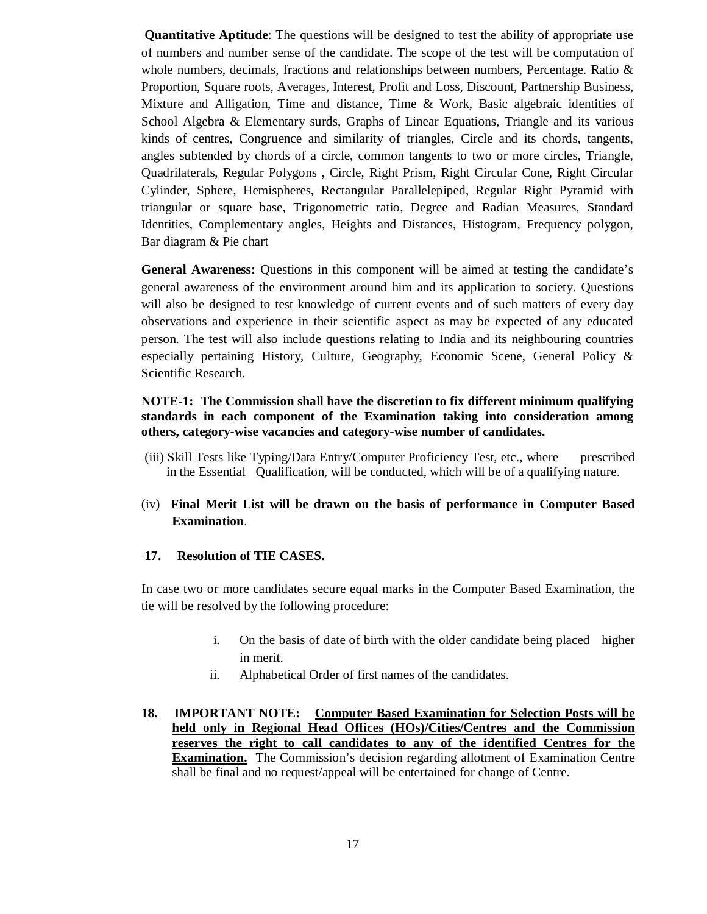**Quantitative Aptitude**: The questions will be designed to test the ability of appropriate use of numbers and number sense of the candidate. The scope of the test will be computation of whole numbers, decimals, fractions and relationships between numbers, Percentage. Ratio & Proportion, Square roots, Averages, Interest, Profit and Loss, Discount, Partnership Business, Mixture and Alligation, Time and distance, Time & Work, Basic algebraic identities of School Algebra & Elementary surds, Graphs of Linear Equations, Triangle and its various kinds of centres, Congruence and similarity of triangles, Circle and its chords, tangents, angles subtended by chords of a circle, common tangents to two or more circles, Triangle, Quadrilaterals, Regular Polygons , Circle, Right Prism, Right Circular Cone, Right Circular Cylinder, Sphere, Hemispheres, Rectangular Parallelepiped, Regular Right Pyramid with triangular or square base, Trigonometric ratio, Degree and Radian Measures, Standard Identities, Complementary angles, Heights and Distances, Histogram, Frequency polygon, Bar diagram & Pie chart

**General Awareness:** Questions in this component will be aimed at testing the candidate's general awareness of the environment around him and its application to society. Questions will also be designed to test knowledge of current events and of such matters of every day observations and experience in their scientific aspect as may be expected of any educated person. The test will also include questions relating to India and its neighbouring countries especially pertaining History, Culture, Geography, Economic Scene, General Policy & Scientific Research.

### **NOTE-1: The Commission shall have the discretion to fix different minimum qualifying standards in each component of the Examination taking into consideration among others, category-wise vacancies and category-wise number of candidates.**

- (iii) Skill Tests like Typing/Data Entry/Computer Proficiency Test, etc., where prescribed in the Essential Qualification, will be conducted, which will be of a qualifying nature.
- (iv) **Final Merit List will be drawn on the basis of performance in Computer Based Examination**.

### **17. Resolution of TIE CASES.**

In case two or more candidates secure equal marks in the Computer Based Examination, the tie will be resolved by the following procedure:

- i. On the basis of date of birth with the older candidate being placed higher in merit.
- ii. Alphabetical Order of first names of the candidates.
- **18. IMPORTANT NOTE: Computer Based Examination for Selection Posts will be held only in Regional Head Offices (HOs)/Cities/Centres and the Commission reserves the right to call candidates to any of the identified Centres for the Examination.** The Commission's decision regarding allotment of Examination Centre shall be final and no request/appeal will be entertained for change of Centre.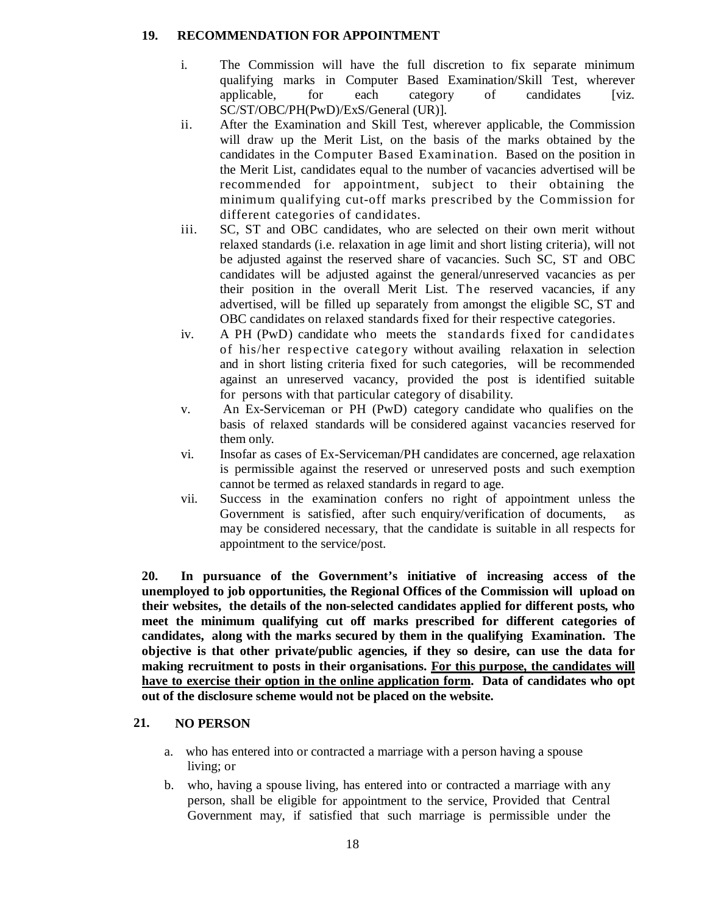### **19. RECOMMENDATION FOR APPOINTMENT**

- i. The Commission will have the full discretion to fix separate minimum qualifying marks in Computer Based Examination/Skill Test, wherever applicable, for each category of candidates [viz. SC/ST/OBC/PH(PwD)/ExS/General (UR)].
- ii. After the Examination and Skill Test, wherever applicable, the Commission will draw up the Merit List, on the basis of the marks obtained by the candidates in the Computer Based Examination. Based on the position in the Merit List, candidates equal to the number of vacancies advertised will be recommended for appointment, subject to their obtaining the minimum qualifying cut-off marks prescribed by the Commission for different categories of candidates.
- iii. SC, ST and OBC candidates, who are selected on their own merit without relaxed standards (i.e. relaxation in age limit and short listing criteria), will not be adjusted against the reserved share of vacancies. Such SC, ST and OBC candidates will be adjusted against the general/unreserved vacancies as per their position in the overall Merit List. The reserved vacancies, if any advertised, will be filled up separately from amongst the eligible SC, ST and OBC candidates on relaxed standards fixed for their respective categories.
- iv. A PH (PwD) candidate who meets the standards fixed for candidates of his/her respective category without availing relaxation in selection and in short listing criteria fixed for such categories, will be recommended against an unreserved vacancy, provided the post is identified suitable for persons with that particular category of disability.
- v. An Ex-Serviceman or PH (PwD) category candidate who qualifies on the basis of relaxed standards will be considered against vacancies reserved for them only.
- vi. Insofar as cases of Ex-Serviceman/PH candidates are concerned, age relaxation is permissible against the reserved or unreserved posts and such exemption cannot be termed as relaxed standards in regard to age.
- vii. Success in the examination confers no right of appointment unless the Government is satisfied, after such enquiry/verification of documents, as may be considered necessary, that the candidate is suitable in all respects for appointment to the service/post.

**20. In pursuance of the Government's initiative of increasing access of the unemployed to job opportunities, the Regional Offices of the Commission will upload on their websites, the details of the non-selected candidates applied for different posts, who meet the minimum qualifying cut off marks prescribed for different categories of candidates, along with the marks secured by them in the qualifying Examination. The objective is that other private/public agencies, if they so desire, can use the data for making recruitment to posts in their organisations. For this purpose, the candidates will have to exercise their option in the online application form. Data of candidates who opt out of the disclosure scheme would not be placed on the website.** 

# **21. NO PERSON**

- a. who has entered into or contracted a marriage with a person having a spouse living; or
- b. who, having a spouse living, has entered into or contracted a marriage with any person, shall be eligible for appointment to the service, Provided that Central Government may, if satisfied that such marriage is permissible under the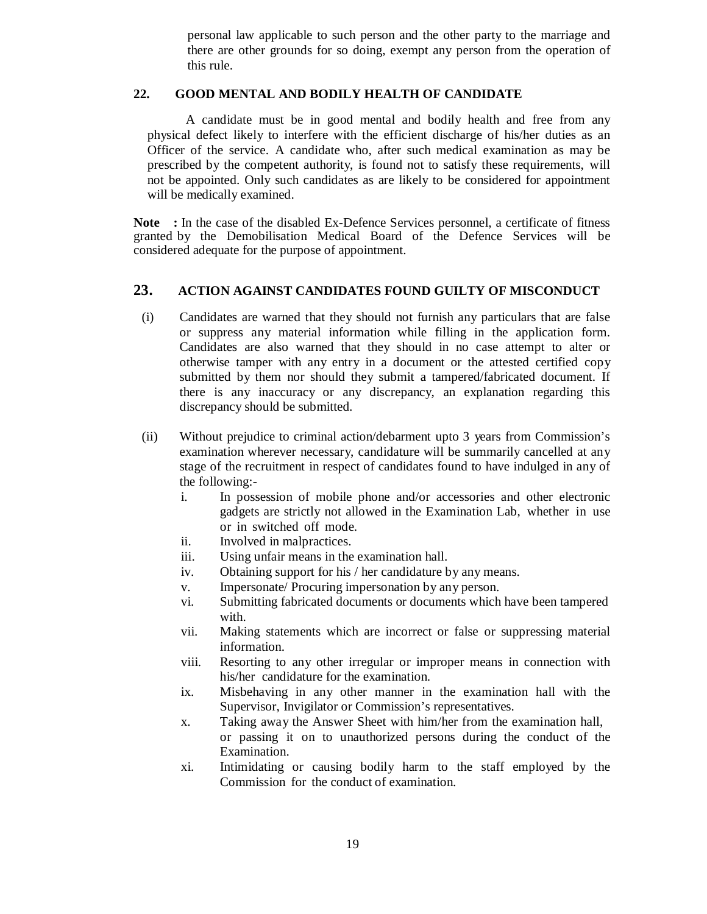personal law applicable to such person and the other party to the marriage and there are other grounds for so doing, exempt any person from the operation of this rule.

#### **22. GOOD MENTAL AND BODILY HEALTH OF CANDIDATE**

A candidate must be in good mental and bodily health and free from any physical defect likely to interfere with the efficient discharge of his/her duties as an Officer of the service. A candidate who, after such medical examination as may be prescribed by the competent authority, is found not to satisfy these requirements, will not be appointed. Only such candidates as are likely to be considered for appointment will be medically examined.

**Note :** In the case of the disabled Ex-Defence Services personnel, a certificate of fitness granted by the Demobilisation Medical Board of the Defence Services will be considered adequate for the purpose of appointment.

#### **23. ACTION AGAINST CANDIDATES FOUND GUILTY OF MISCONDUCT**

- (i) Candidates are warned that they should not furnish any particulars that are false or suppress any material information while filling in the application form. Candidates are also warned that they should in no case attempt to alter or otherwise tamper with any entry in a document or the attested certified copy submitted by them nor should they submit a tampered/fabricated document. If there is any inaccuracy or any discrepancy, an explanation regarding this discrepancy should be submitted.
- (ii) Without prejudice to criminal action/debarment upto 3 years from Commission's examination wherever necessary, candidature will be summarily cancelled at any stage of the recruitment in respect of candidates found to have indulged in any of the following:
	- i. In possession of mobile phone and/or accessories and other electronic gadgets are strictly not allowed in the Examination Lab, whether in use or in switched off mode.
	- ii. Involved in malpractices.
	- iii. Using unfair means in the examination hall.
	- iv. Obtaining support for his / her candidature by any means.
	- v. Impersonate/ Procuring impersonation by any person.
	- vi. Submitting fabricated documents or documents which have been tampered with.
	- vii. Making statements which are incorrect or false or suppressing material information.
	- viii. Resorting to any other irregular or improper means in connection with his/her candidature for the examination.
	- ix. Misbehaving in any other manner in the examination hall with the Supervisor, Invigilator or Commission's representatives.
	- x. Taking away the Answer Sheet with him/her from the examination hall, or passing it on to unauthorized persons during the conduct of the Examination.
	- xi. Intimidating or causing bodily harm to the staff employed by the Commission for the conduct of examination.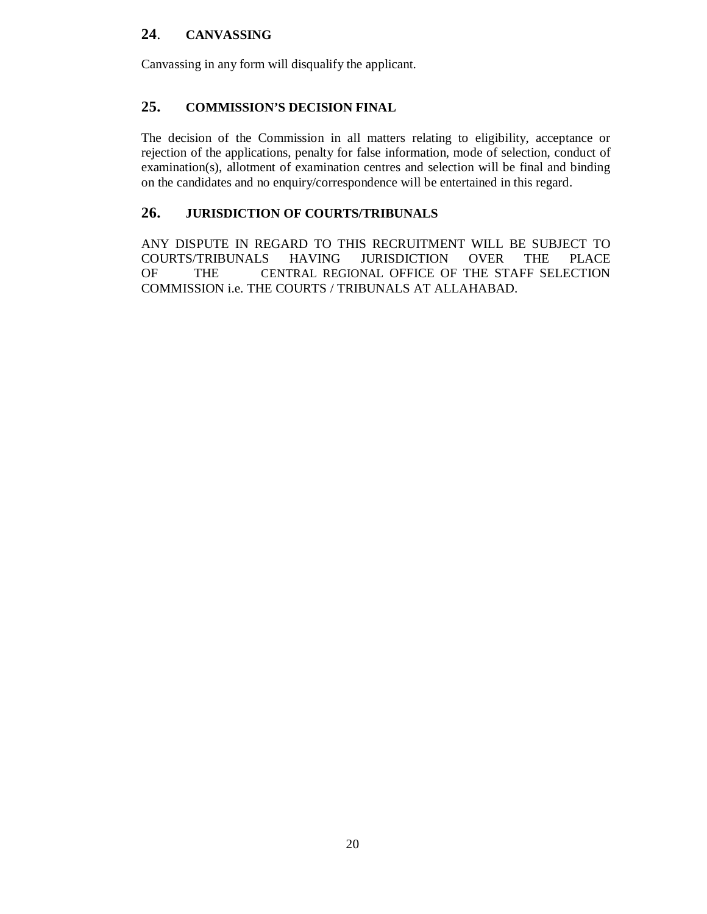# **24**. **CANVASSING**

Canvassing in any form will disqualify the applicant.

# **25. COMMISSION'S DECISION FINAL**

The decision of the Commission in all matters relating to eligibility, acceptance or rejection of the applications, penalty for false information, mode of selection, conduct of examination(s), allotment of examination centres and selection will be final and binding on the candidates and no enquiry/correspondence will be entertained in this regard.

# **26. JURISDICTION OF COURTS/TRIBUNALS**

ANY DISPUTE IN REGARD TO THIS RECRUITMENT WILL BE SUBJECT TO COURTS/TRIBUNALS HAVING JURISDICTION OVER THE PLACE COURTS/TRIBUNALS HAVING JURISDICTION OVER THE PLACE OF THE CENTRAL REGIONAL OFFICE OF THE STAFF SELECTION COMMISSION i.e. THE COURTS / TRIBUNALS AT ALLAHABAD.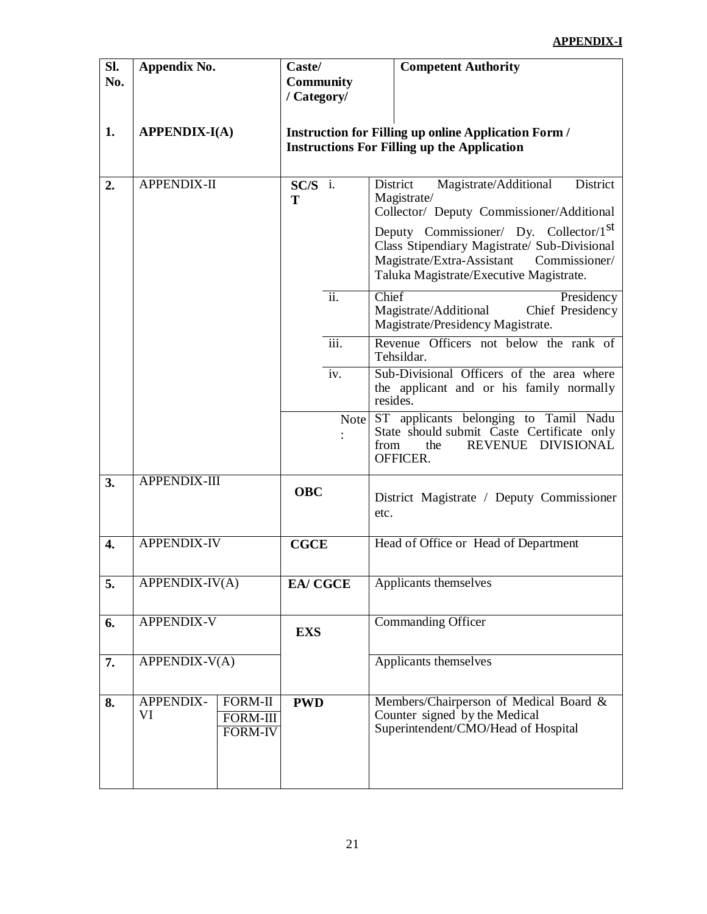# **APPENDIX-I**

| SI.<br>No.       | Appendix No.           |                                              | Caste/<br><b>Community</b><br>/ Category/ |      |          | <b>Competent Authority</b>                                                                                                                                                                                                                                                                    |
|------------------|------------------------|----------------------------------------------|-------------------------------------------|------|----------|-----------------------------------------------------------------------------------------------------------------------------------------------------------------------------------------------------------------------------------------------------------------------------------------------|
| 1.               | <b>APPENDIX-I(A)</b>   |                                              |                                           |      |          | <b>Instruction for Filling up online Application Form /</b><br><b>Instructions For Filling up the Application</b>                                                                                                                                                                             |
| 2.               | APPENDIX-II            |                                              | $SC/S$ i.<br>T                            |      | District | Magistrate/Additional<br>District<br>Magistrate/<br>Collector/ Deputy Commissioner/Additional<br>Deputy Commissioner/ Dy. Collector/1 <sup>st</sup><br>Class Stipendiary Magistrate/ Sub-Divisional<br>Magistrate/Extra-Assistant<br>Commissioner/<br>Taluka Magistrate/Executive Magistrate. |
|                  |                        |                                              |                                           | ii.  | Chief    | Presidency<br>Magistrate/Additional<br>Chief Presidency<br>Magistrate/Presidency Magistrate.                                                                                                                                                                                                  |
|                  |                        |                                              |                                           | iii. |          | Revenue Officers not below the rank of<br>Tehsildar.                                                                                                                                                                                                                                          |
|                  |                        |                                              |                                           | iv.  | resides. | Sub-Divisional Officers of the area where<br>the applicant and or his family normally                                                                                                                                                                                                         |
|                  |                        |                                              |                                           | Note | from     | ST applicants belonging to Tamil Nadu<br>State should submit Caste Certificate only<br>REVENUE DIVISIONAL<br>the<br>OFFICER.                                                                                                                                                                  |
| 3.               | APPENDIX-III           |                                              | <b>OBC</b>                                |      | etc.     | District Magistrate / Deputy Commissioner                                                                                                                                                                                                                                                     |
| $\overline{4}$ . | <b>APPENDIX-IV</b>     |                                              | <b>CGCE</b>                               |      |          | Head of Office or Head of Department                                                                                                                                                                                                                                                          |
| 5.               | APPENDIX-IV(A)         |                                              | <b>EA/ CGCE</b>                           |      |          | Applicants themselves                                                                                                                                                                                                                                                                         |
| 6.               | <b>APPENDIX-V</b>      |                                              | <b>EXS</b>                                |      |          | <b>Commanding Officer</b>                                                                                                                                                                                                                                                                     |
| 7.               | APPENDIX-V(A)          |                                              |                                           |      |          | Applicants themselves                                                                                                                                                                                                                                                                         |
| 8.               | <b>APPENDIX-</b><br>VI | FORM-II<br><b>FORM-III</b><br><b>FORM-IV</b> | <b>PWD</b>                                |      |          | Members/Chairperson of Medical Board &<br>Counter signed by the Medical<br>Superintendent/CMO/Head of Hospital                                                                                                                                                                                |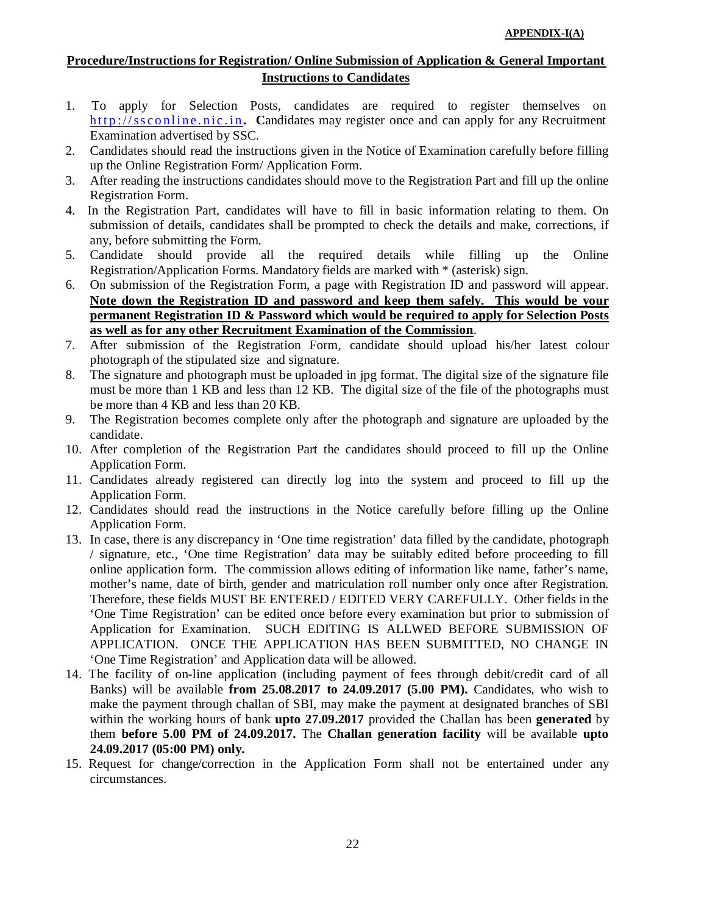# **Procedure/Instructions for Registration/ Online Submission of Application & General Important Instructions to Candidates**

- 1. To apply for Selection Posts, candidates are required to register themselves on http://ssconline.nic.in. Candidates may register once and can apply for any Recruitment Examination advertised by SSC.
- 2. Candidates should read the instructions given in the Notice of Examination carefully before filling up the Online Registration Form/ Application Form.
- 3. After reading the instructions candidates should move to the Registration Part and fill up the online Registration Form.
- 4. In the Registration Part, candidates will have to fill in basic information relating to them. On submission of details, candidates shall be prompted to check the details and make, corrections, if any, before submitting the Form.
- 5. Candidate should provide all the required details while filling up the Online Registration/Application Forms. Mandatory fields are marked with \* (asterisk) sign.
- 6. On submission of the Registration Form, a page with Registration ID and password will appear. **Note down the Registration ID and password and keep them safely. This would be your permanent Registration ID & Password which would be required to apply for Selection Posts as well as for any other Recruitment Examination of the Commission**.
- 7. After submission of the Registration Form, candidate should upload his/her latest colour photograph of the stipulated size and signature.
- 8. The signature and photograph must be uploaded in jpg format. The digital size of the signature file must be more than 1 KB and less than 12 KB. The digital size of the file of the photographs must be more than 4 KB and less than 20 KB.
- 9. The Registration becomes complete only after the photograph and signature are uploaded by the candidate.
- 10. After completion of the Registration Part the candidates should proceed to fill up the Online Application Form.
- 11. Candidates already registered can directly log into the system and proceed to fill up the Application Form.
- 12. Candidates should read the instructions in the Notice carefully before filling up the Online Application Form.
- 13. In case, there is any discrepancy in 'One time registration' data filled by the candidate, photograph / signature, etc., 'One time Registration' data may be suitably edited before proceeding to fill online application form. The commission allows editing of information like name, father's name, mother's name, date of birth, gender and matriculation roll number only once after Registration. Therefore, these fields MUST BE ENTERED / EDITED VERY CAREFULLY. Other fields in the 'One Time Registration' can be edited once before every examination but prior to submission of Application for Examination. SUCH EDITING IS ALLWED BEFORE SUBMISSION OF APPLICATION. ONCE THE APPLICATION HAS BEEN SUBMITTED, NO CHANGE IN 'One Time Registration' and Application data will be allowed.
- 14. The facility of on-line application (including payment of fees through debit/credit card of all Banks) will be available **from 25.08.2017 to 24.09.2017 (5.00 PM).** Candidates, who wish to make the payment through challan of SBI, may make the payment at designated branches of SBI within the working hours of bank **upto 27.09.2017** provided the Challan has been **generated** by them **before 5.00 PM of 24.09.2017.** The **Challan generation facility** will be available **upto 24.09.2017 (05:00 PM) only.**
- 15. Request for change/correction in the Application Form shall not be entertained under any circumstances.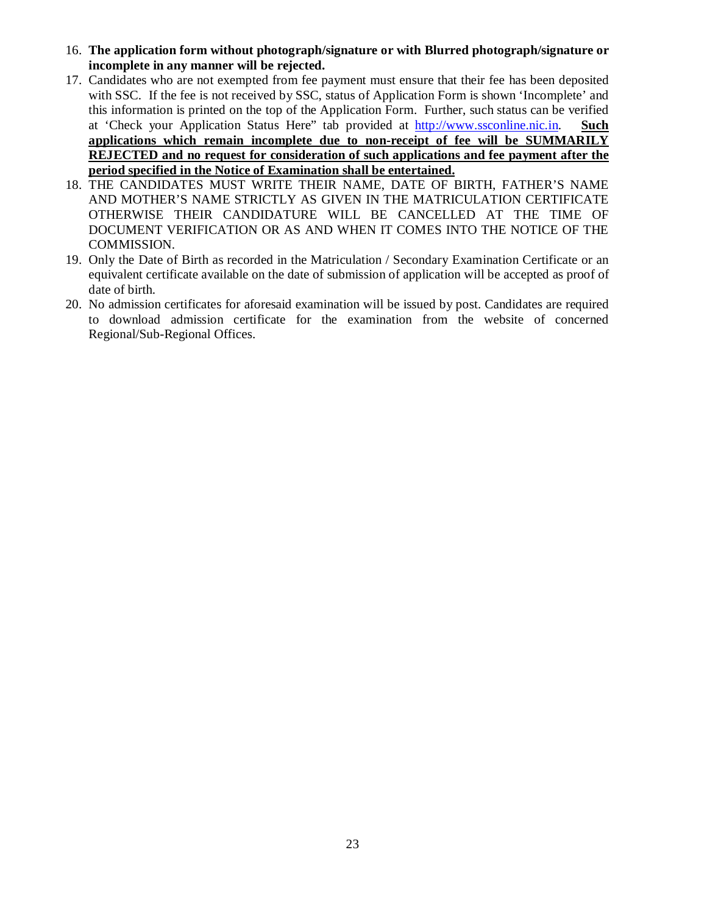- 16. **The application form without photograph/signature or with Blurred photograph/signature or incomplete in any manner will be rejected.**
- 17. Candidates who are not exempted from fee payment must ensure that their fee has been deposited with SSC. If the fee is not received by SSC, status of Application Form is shown 'Incomplete' and this information is printed on the top of the Application Form. Further, such status can be verified at 'Check your Application Status Here" tab provided at http://www.ssconline.nic.in. **Such applications which remain incomplete due to non-receipt of fee will be SUMMARILY REJECTED and no request for consideration of such applications and fee payment after the period specified in the Notice of Examination shall be entertained.**
- 18. THE CANDIDATES MUST WRITE THEIR NAME, DATE OF BIRTH, FATHER'S NAME AND MOTHER'S NAME STRICTLY AS GIVEN IN THE MATRICULATION CERTIFICATE OTHERWISE THEIR CANDIDATURE WILL BE CANCELLED AT THE TIME OF DOCUMENT VERIFICATION OR AS AND WHEN IT COMES INTO THE NOTICE OF THE COMMISSION.
- 19. Only the Date of Birth as recorded in the Matriculation / Secondary Examination Certificate or an equivalent certificate available on the date of submission of application will be accepted as proof of date of birth.
- 20. No admission certificates for aforesaid examination will be issued by post. Candidates are required to download admission certificate for the examination from the website of concerned Regional/Sub-Regional Offices.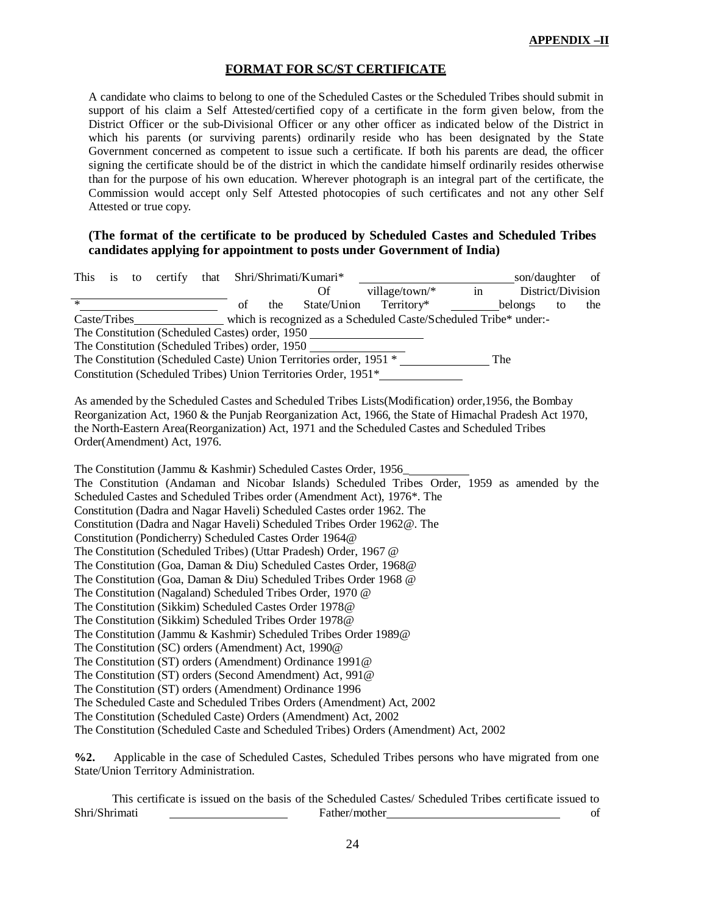#### **FORMAT FOR SC/ST CERTIFICATE**

A candidate who claims to belong to one of the Scheduled Castes or the Scheduled Tribes should submit in support of his claim a Self Attested/certified copy of a certificate in the form given below, from the District Officer or the sub-Divisional Officer or any other officer as indicated below of the District in which his parents (or surviving parents) ordinarily reside who has been designated by the State Government concerned as competent to issue such a certificate. If both his parents are dead, the officer signing the certificate should be of the district in which the candidate himself ordinarily resides otherwise than for the purpose of his own education. Wherever photograph is an integral part of the certificate, the Commission would accept only Self Attested photocopies of such certificates and not any other Self Attested or true copy.

### **(The format of the certificate to be produced by Scheduled Castes and Scheduled Tribes candidates applying for appointment to posts under Government of India)**

| $\,$ in<br><b>Of</b><br>village/town/*<br>District/Division<br>$\ast$<br>$T$ erritory*<br>State/Union<br>of<br>the<br>belongs<br>to<br>the<br>The Constitution (Scheduled Castes) order, 1950<br>The Constitution (Scheduled Tribes) order, 1950<br>The<br>The Constitution (Scheduled Caste) Union Territories order, 1951 *<br>Constitution (Scheduled Tribes) Union Territories Order, 1951*<br>As amended by the Scheduled Castes and Scheduled Tribes Lists (Modification) order, 1956, the Bombay<br>Reorganization Act, 1960 & the Punjab Reorganization Act, 1966, the State of Himachal Pradesh Act 1970,<br>the North-Eastern Area(Reorganization) Act, 1971 and the Scheduled Castes and Scheduled Tribes<br>Order(Amendment) Act, 1976.<br>The Constitution (Jammu & Kashmir) Scheduled Castes Order, 1956<br>The Constitution (Andaman and Nicobar Islands) Scheduled Tribes Order, 1959 as amended by the<br>Scheduled Castes and Scheduled Tribes order (Amendment Act), 1976*. The<br>Constitution (Dadra and Nagar Haveli) Scheduled Castes order 1962. The<br>Constitution (Dadra and Nagar Haveli) Scheduled Tribes Order 1962@. The<br>Constitution (Pondicherry) Scheduled Castes Order 1964@<br>The Constitution (Scheduled Tribes) (Uttar Pradesh) Order, 1967 @<br>The Constitution (Goa, Daman & Diu) Scheduled Castes Order, 1968@<br>The Constitution (Goa, Daman & Diu) Scheduled Tribes Order 1968 @<br>The Constitution (Nagaland) Scheduled Tribes Order, 1970 @<br>The Constitution (Sikkim) Scheduled Castes Order 1978@<br>The Constitution (Sikkim) Scheduled Tribes Order 1978@<br>The Constitution (Jammu & Kashmir) Scheduled Tribes Order 1989@<br>The Constitution (SC) orders (Amendment) Act, 1990@<br>The Constitution (ST) orders (Amendment) Ordinance 1991@<br>The Constitution (ST) orders (Second Amendment) Act, 991@<br>The Constitution (ST) orders (Amendment) Ordinance 1996<br>The Scheduled Caste and Scheduled Tribes Orders (Amendment) Act, 2002 | to certify that Shri/Shrimati/Kumari*<br>This<br>is                                  |  |  | _son/daughter | of |
|------------------------------------------------------------------------------------------------------------------------------------------------------------------------------------------------------------------------------------------------------------------------------------------------------------------------------------------------------------------------------------------------------------------------------------------------------------------------------------------------------------------------------------------------------------------------------------------------------------------------------------------------------------------------------------------------------------------------------------------------------------------------------------------------------------------------------------------------------------------------------------------------------------------------------------------------------------------------------------------------------------------------------------------------------------------------------------------------------------------------------------------------------------------------------------------------------------------------------------------------------------------------------------------------------------------------------------------------------------------------------------------------------------------------------------------------------------------------------------------------------------------------------------------------------------------------------------------------------------------------------------------------------------------------------------------------------------------------------------------------------------------------------------------------------------------------------------------------------------------------------------------------------------------------------------------------------------------------------------------------------------|--------------------------------------------------------------------------------------|--|--|---------------|----|
|                                                                                                                                                                                                                                                                                                                                                                                                                                                                                                                                                                                                                                                                                                                                                                                                                                                                                                                                                                                                                                                                                                                                                                                                                                                                                                                                                                                                                                                                                                                                                                                                                                                                                                                                                                                                                                                                                                                                                                                                            |                                                                                      |  |  |               |    |
|                                                                                                                                                                                                                                                                                                                                                                                                                                                                                                                                                                                                                                                                                                                                                                                                                                                                                                                                                                                                                                                                                                                                                                                                                                                                                                                                                                                                                                                                                                                                                                                                                                                                                                                                                                                                                                                                                                                                                                                                            |                                                                                      |  |  |               |    |
|                                                                                                                                                                                                                                                                                                                                                                                                                                                                                                                                                                                                                                                                                                                                                                                                                                                                                                                                                                                                                                                                                                                                                                                                                                                                                                                                                                                                                                                                                                                                                                                                                                                                                                                                                                                                                                                                                                                                                                                                            |                                                                                      |  |  |               |    |
|                                                                                                                                                                                                                                                                                                                                                                                                                                                                                                                                                                                                                                                                                                                                                                                                                                                                                                                                                                                                                                                                                                                                                                                                                                                                                                                                                                                                                                                                                                                                                                                                                                                                                                                                                                                                                                                                                                                                                                                                            |                                                                                      |  |  |               |    |
|                                                                                                                                                                                                                                                                                                                                                                                                                                                                                                                                                                                                                                                                                                                                                                                                                                                                                                                                                                                                                                                                                                                                                                                                                                                                                                                                                                                                                                                                                                                                                                                                                                                                                                                                                                                                                                                                                                                                                                                                            |                                                                                      |  |  |               |    |
|                                                                                                                                                                                                                                                                                                                                                                                                                                                                                                                                                                                                                                                                                                                                                                                                                                                                                                                                                                                                                                                                                                                                                                                                                                                                                                                                                                                                                                                                                                                                                                                                                                                                                                                                                                                                                                                                                                                                                                                                            |                                                                                      |  |  |               |    |
|                                                                                                                                                                                                                                                                                                                                                                                                                                                                                                                                                                                                                                                                                                                                                                                                                                                                                                                                                                                                                                                                                                                                                                                                                                                                                                                                                                                                                                                                                                                                                                                                                                                                                                                                                                                                                                                                                                                                                                                                            |                                                                                      |  |  |               |    |
|                                                                                                                                                                                                                                                                                                                                                                                                                                                                                                                                                                                                                                                                                                                                                                                                                                                                                                                                                                                                                                                                                                                                                                                                                                                                                                                                                                                                                                                                                                                                                                                                                                                                                                                                                                                                                                                                                                                                                                                                            |                                                                                      |  |  |               |    |
| The Constitution (Scheduled Caste) Orders (Amendment) Act, 2002                                                                                                                                                                                                                                                                                                                                                                                                                                                                                                                                                                                                                                                                                                                                                                                                                                                                                                                                                                                                                                                                                                                                                                                                                                                                                                                                                                                                                                                                                                                                                                                                                                                                                                                                                                                                                                                                                                                                            |                                                                                      |  |  |               |    |
|                                                                                                                                                                                                                                                                                                                                                                                                                                                                                                                                                                                                                                                                                                                                                                                                                                                                                                                                                                                                                                                                                                                                                                                                                                                                                                                                                                                                                                                                                                                                                                                                                                                                                                                                                                                                                                                                                                                                                                                                            | The Constitution (Scheduled Caste and Scheduled Tribes) Orders (Amendment) Act, 2002 |  |  |               |    |

**%2.** Applicable in the case of Scheduled Castes, Scheduled Tribes persons who have migrated from one State/Union Territory Administration.

This certificate is issued on the basis of the Scheduled Castes/ Scheduled Tribes certificate issued to Shri/Shrimati Father/mother of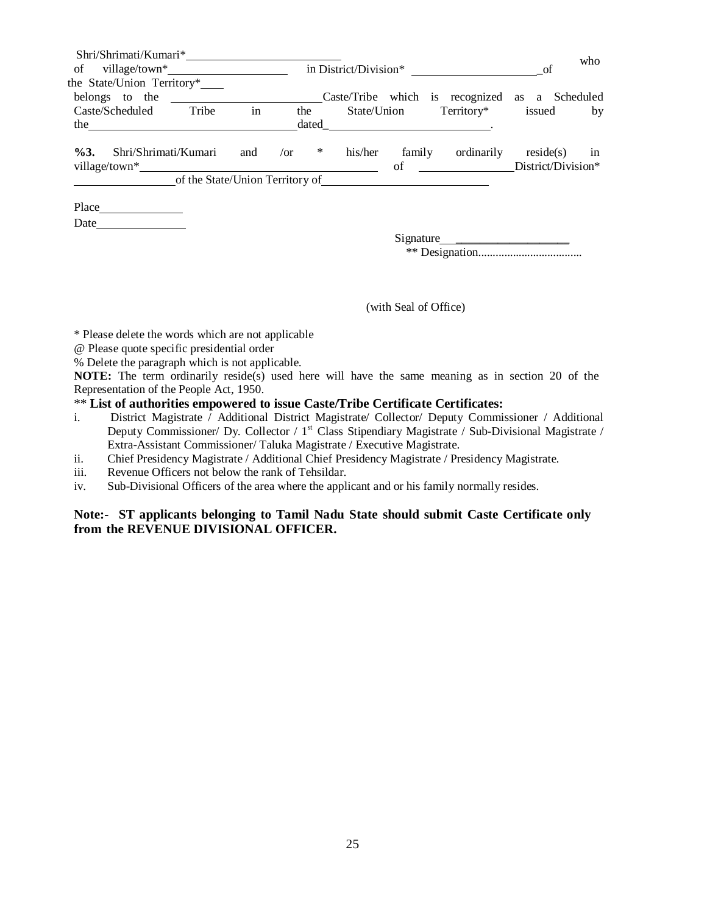| Shri/Shrimati/Kumari*                                                                                                                                                                                                                  |     |                                                       |         |             |                                                                                                                                                                                                                                              |                                 | who |
|----------------------------------------------------------------------------------------------------------------------------------------------------------------------------------------------------------------------------------------|-----|-------------------------------------------------------|---------|-------------|----------------------------------------------------------------------------------------------------------------------------------------------------------------------------------------------------------------------------------------------|---------------------------------|-----|
|                                                                                                                                                                                                                                        |     |                                                       |         |             | in District/Division*                                                                                                                                                                                                                        | of                              |     |
| the State/Union Territory*                                                                                                                                                                                                             |     |                                                       |         |             |                                                                                                                                                                                                                                              |                                 |     |
| belongs to the                                                                                                                                                                                                                         |     |                                                       |         |             | Caste/Tribe which is recognized as a Scheduled                                                                                                                                                                                               |                                 |     |
| Tribe<br>Caste/Scheduled                                                                                                                                                                                                               | in  | the                                                   |         | State/Union | Territory*                                                                                                                                                                                                                                   | issued                          | by  |
|                                                                                                                                                                                                                                        |     | dated                                                 |         |             |                                                                                                                                                                                                                                              |                                 |     |
| Shri/Shrimati/Kumari<br>$\%3.$                                                                                                                                                                                                         | and | $\sqrt{or}$<br>$*$<br>of the State/Union Territory of | his/her | family      | ordinarily<br>of the contract of the contract of the contract of the contract of the contract of the contract of the contract of the contract of the contract of the contract of the contract of the contract of the contract of the contrac | reside(s)<br>District/Division* | in  |
| Place<br>Date and the same state of the state of the state of the state of the state of the state of the state of the state of the state of the state of the state of the state of the state of the state of the state of the state of |     |                                                       |         |             |                                                                                                                                                                                                                                              |                                 |     |
|                                                                                                                                                                                                                                        |     |                                                       |         |             | Signature                                                                                                                                                                                                                                    |                                 |     |

(with Seal of Office)

\* Please delete the words which are not applicable

- @ Please quote specific presidential order
- % Delete the paragraph which is not applicable.

**NOTE:** The term ordinarily reside(s) used here will have the same meaning as in section 20 of the Representation of the People Act, 1950.

#### \*\* **List of authorities empowered to issue Caste/Tribe Certificate Certificates:**

- i. District Magistrate / Additional District Magistrate/ Collector/ Deputy Commissioner / Additional Deputy Commissioner/ Dy. Collector /  $1<sup>st</sup>$  Class Stipendiary Magistrate / Sub-Divisional Magistrate / Extra-Assistant Commissioner/ Taluka Magistrate / Executive Magistrate.
- ii. Chief Presidency Magistrate / Additional Chief Presidency Magistrate / Presidency Magistrate.
- iii. Revenue Officers not below the rank of Tehsildar.
- iv. Sub-Divisional Officers of the area where the applicant and or his family normally resides.

### **Note:- ST applicants belonging to Tamil Nadu State should submit Caste Certificate only from the REVENUE DIVISIONAL OFFICER.**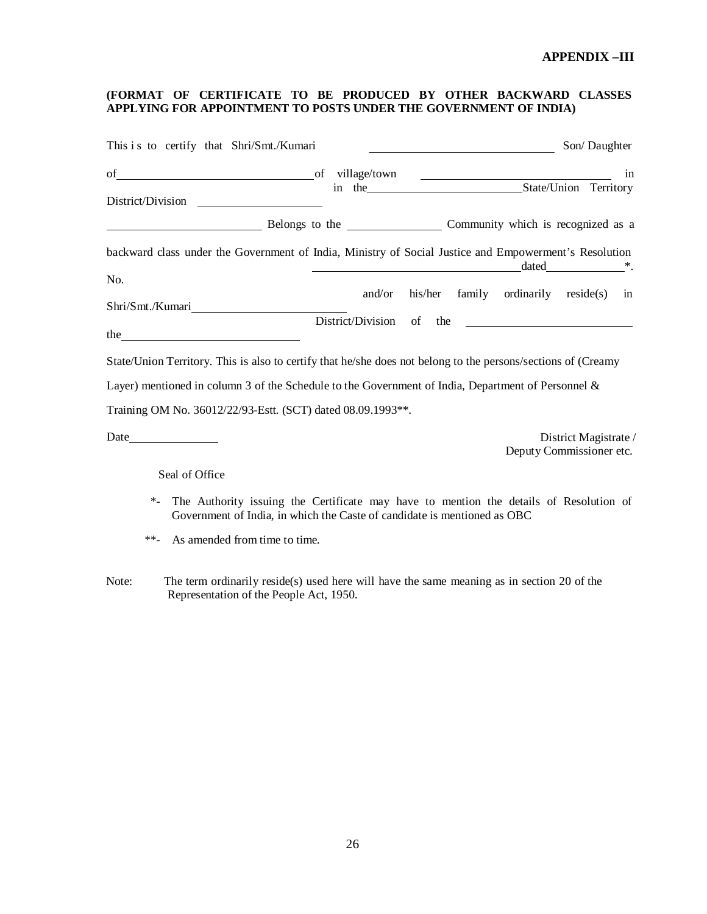### **APPENDIX –III**

#### **(FORMAT OF CERTIFICATE TO BE PRODUCED BY OTHER BACKWARD CLASSES APPLYING FOR APPOINTMENT TO POSTS UNDER THE GOVERNMENT OF INDIA)**

| This is to certify that Shri/Smt./Kumari                                                                                                                                       |        | <u> 1990 - Johann Barbara, martxa eta politikar</u> | Son/Daughter                                                                                          |
|--------------------------------------------------------------------------------------------------------------------------------------------------------------------------------|--------|-----------------------------------------------------|-------------------------------------------------------------------------------------------------------|
| District/Division                                                                                                                                                              |        |                                                     | in                                                                                                    |
| Belongs to the Community which is recognized as a                                                                                                                              |        |                                                     |                                                                                                       |
| backward class under the Government of India, Ministry of Social Justice and Empowerment's Resolution                                                                          |        |                                                     | $\frac{1}{\text{dated}}$ $\frac{1}{\text{dated}}$ $\frac{1}{\text{dated}}$ $\frac{1}{\text{dated}}$ . |
| No.                                                                                                                                                                            |        |                                                     |                                                                                                       |
|                                                                                                                                                                                | and/or |                                                     | his/her family ordinarily reside(s) in                                                                |
|                                                                                                                                                                                |        |                                                     | District/Division of the                                                                              |
| State/Union Territory. This is also to certify that he/she does not belong to the persons/sections of (Creamy                                                                  |        |                                                     |                                                                                                       |
| Layer) mentioned in column 3 of the Schedule to the Government of India, Department of Personnel &                                                                             |        |                                                     |                                                                                                       |
| Training OM No. 36012/22/93-Estt. (SCT) dated 08.09.1993**.                                                                                                                    |        |                                                     |                                                                                                       |
|                                                                                                                                                                                |        |                                                     | District Magistrate /<br>Deputy Commissioner etc.                                                     |
| Seal of Office                                                                                                                                                                 |        |                                                     |                                                                                                       |
| $\ast$ .<br>The Authority issuing the Certificate may have to mention the details of Resolution of<br>Government of India, in which the Caste of candidate is mentioned as OBC |        |                                                     |                                                                                                       |
| $***$<br>As amended from time to time.                                                                                                                                         |        |                                                     |                                                                                                       |

Note: The term ordinarily reside(s) used here will have the same meaning as in section 20 of the Representation of the People Act, 1950.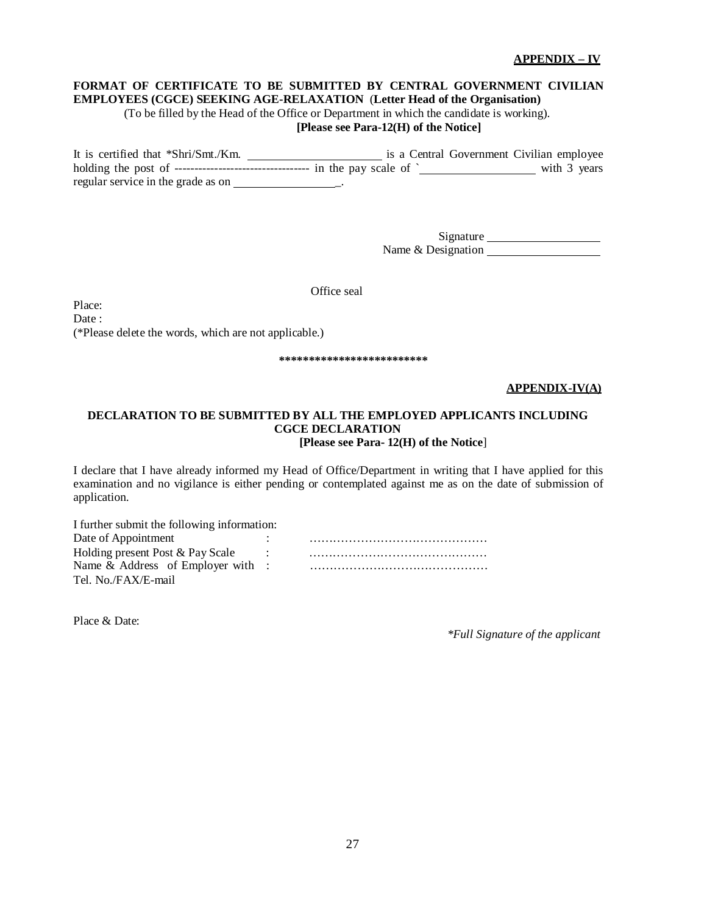#### **APPENDIX – IV**

### **FORMAT OF CERTIFICATE TO BE SUBMITTED BY CENTRAL GOVERNMENT CIVILIAN EMPLOYEES (CGCE) SEEKING AGE-RELAXATION** (**Letter Head of the Organisation)**

(To be filled by the Head of the Office or Department in which the candidate is working).

# **[Please see Para-12(H) of the Notice]**

It is certified that \*Shri/Smt./Km. is a Central Government Civilian employee holding the post of ---------------------------------- in the pay scale of ` with 3 years regular service in the grade as on \_.

> Signature Name & Designation

Office seal

Place: Date: (\*Please delete the words, which are not applicable.)

#### **\*\*\*\*\*\*\*\*\*\*\*\*\*\*\*\*\*\*\*\*\*\*\*\*\***

#### **APPENDIX-IV(A)**

#### **DECLARATION TO BE SUBMITTED BY ALL THE EMPLOYED APPLICANTS INCLUDING CGCE DECLARATION [Please see Para- 12(H) of the Notice**]

I declare that I have already informed my Head of Office/Department in writing that I have applied for this examination and no vigilance is either pending or contemplated against me as on the date of submission of application.

| I further submit the following information: |  |
|---------------------------------------------|--|
| Date of Appointment                         |  |
| Holding present Post & Pay Scale            |  |
| Name & Address of Employer with :           |  |
| Tel. No./FAX/E-mail                         |  |

Place & Date:

*\*Full Signature of the applicant*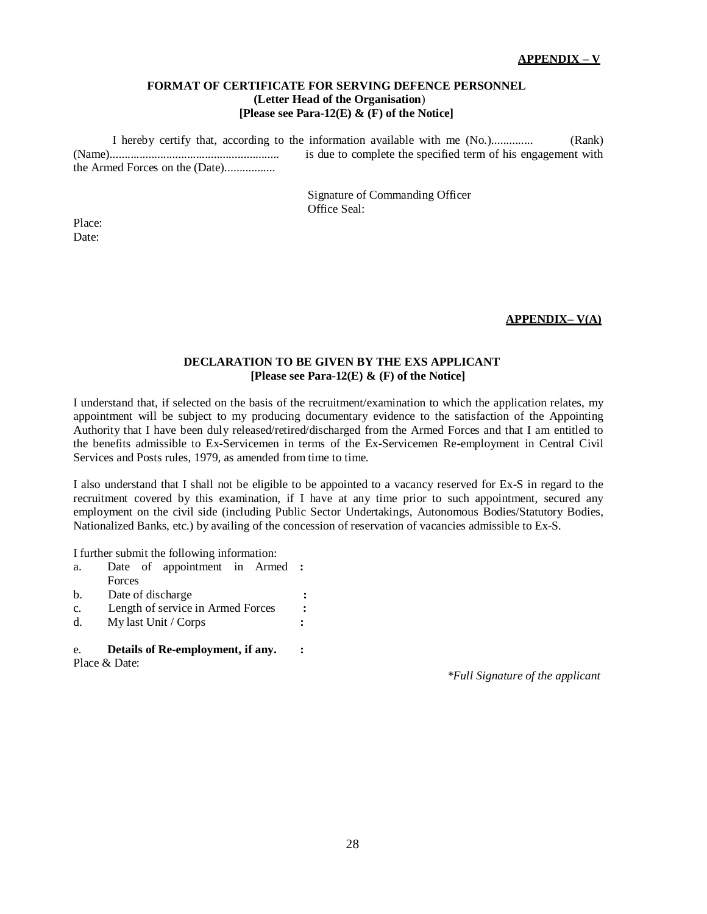#### **FORMAT OF CERTIFICATE FOR SERVING DEFENCE PERSONNEL (Letter Head of the Organisation**) **[Please see Para-12(E) & (F) of the Notice]**

I hereby certify that, according to the information available with me (No.).............. (Rank) (Name)......................................................... is due to complete the specified term of his engagement with the Armed Forces on the (Date).................

> Signature of Commanding Officer Office Seal:

Place: Date:

### **APPENDIX– V(A)**

#### **DECLARATION TO BE GIVEN BY THE EXS APPLICANT [Please see Para-12(E) & (F) of the Notice]**

I understand that, if selected on the basis of the recruitment/examination to which the application relates, my appointment will be subject to my producing documentary evidence to the satisfaction of the Appointing Authority that I have been duly released/retired/discharged from the Armed Forces and that I am entitled to the benefits admissible to Ex-Servicemen in terms of the Ex-Servicemen Re-employment in Central Civil Services and Posts rules, 1979, as amended from time to time.

I also understand that I shall not be eligible to be appointed to a vacancy reserved for Ex-S in regard to the recruitment covered by this examination, if I have at any time prior to such appointment, secured any employment on the civil side (including Public Sector Undertakings, Autonomous Bodies/Statutory Bodies, Nationalized Banks, etc.) by availing of the concession of reservation of vacancies admissible to Ex-S.

I further submit the following information:

| e.             | Details of Re-employment, if any. |  |
|----------------|-----------------------------------|--|
| $d$ .          | My last Unit / Corps              |  |
| c.             | Length of service in Armed Forces |  |
| $\mathbf{b}$ . | Date of discharge                 |  |
|                | Forces                            |  |
| a.             | Date of appointment in Armed      |  |

Place & Date:

*\*Full Signature of the applicant*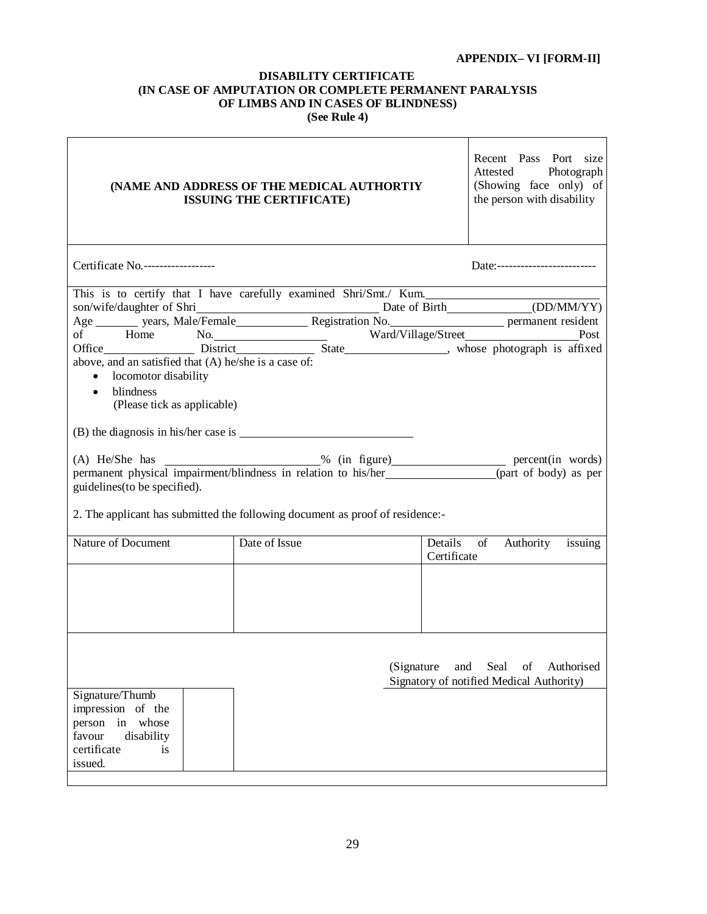# **APPENDIX– VI [FORM-II]**

#### **DISABILITY CERTIFICATE (IN CASE OF AMPUTATION OR COMPLETE PERMANENT PARALYSIS OF LIMBS AND IN CASES OF BLINDNESS) (See Rule 4)**

| (NAME AND ADDRESS OF THE MEDICAL AUTHORTIY<br><b>ISSUING THE CERTIFICATE)</b>                                                                                                                                                                                                                                                   | Recent Pass Port size<br>Attested Photograph<br>(Showing face only) of<br>the person with disability |            |                                                                                                                                                                                                                                                                                                                                                   |
|---------------------------------------------------------------------------------------------------------------------------------------------------------------------------------------------------------------------------------------------------------------------------------------------------------------------------------|------------------------------------------------------------------------------------------------------|------------|---------------------------------------------------------------------------------------------------------------------------------------------------------------------------------------------------------------------------------------------------------------------------------------------------------------------------------------------------|
| Certificate No.-------------------                                                                                                                                                                                                                                                                                              |                                                                                                      |            | Date:--------------------------                                                                                                                                                                                                                                                                                                                   |
| This is to certify that I have carefully examined Shri/Smt./ Kum.<br>above, and an satisfied that (A) he/she is a case of:<br>• locomotor disability<br>blindness<br>$\bullet$<br>(Please tick as applicable)<br>guidelines (to be specified).<br>2. The applicant has submitted the following document as proof of residence:- |                                                                                                      |            | son/wife/daughter of Shri Date of Birth (DD/MM/YY)<br>Age years, Male/Female Registration No. permanent resident<br>of Home No.<br>of Home No. Ward/Village/Street Post Post<br>Office District Bistrict State ward/Village/Street Post<br>(A) He/She has<br>permanent physical impairment/blindness in relation to his/her (part of body) as per |
| Nature of Document                                                                                                                                                                                                                                                                                                              | Date of Issue                                                                                        |            | Details of Authority issuing<br>Certificate                                                                                                                                                                                                                                                                                                       |
|                                                                                                                                                                                                                                                                                                                                 |                                                                                                      |            |                                                                                                                                                                                                                                                                                                                                                   |
| Signature/Thumb<br>impression of the<br>person in<br>whose<br>favour<br>disability<br>certificate<br>is<br>issued.                                                                                                                                                                                                              |                                                                                                      | (Signature | and<br>Seal<br>of<br>Authorised<br>Signatory of notified Medical Authority)                                                                                                                                                                                                                                                                       |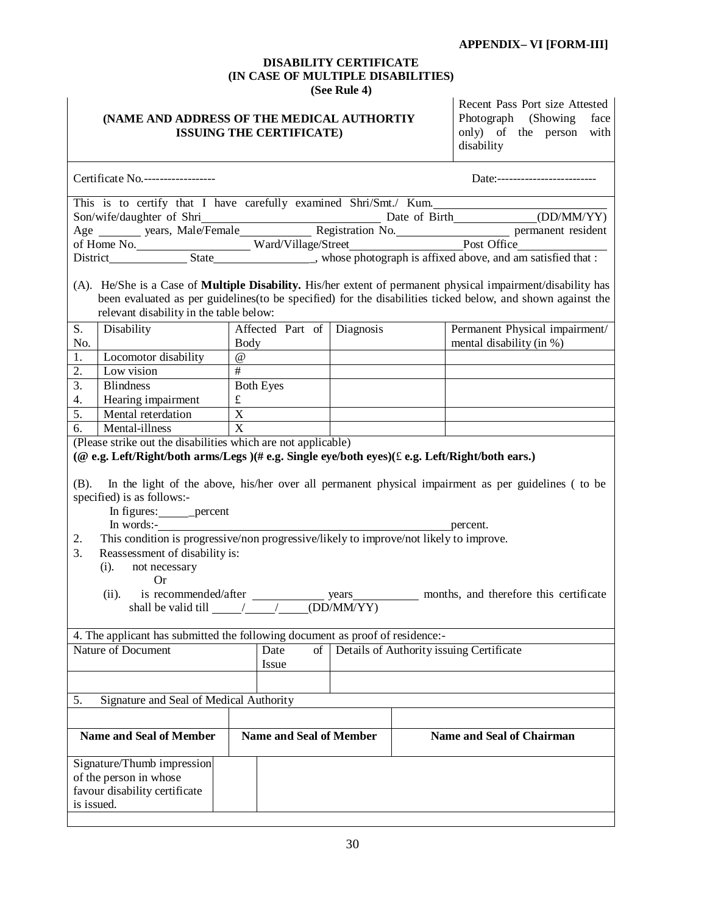#### **APPENDIX– VI [FORM-III]**

#### **DISABILITY CERTIFICATE (IN CASE OF MULTIPLE DISABILITIES) (See Rule 4)**

#### **(NAME AND ADDRESS OF THE MEDICAL AUTHORTIY ISSUING THE CERTIFICATE)**

Recent Pass Port size Attested Photograph (Showing face only) of the person with disability

|                                               | Certificate No.-------------------                                                                                                            |                                |  | Date:-------------------------                                                                                                                                                                                                                               |  |
|-----------------------------------------------|-----------------------------------------------------------------------------------------------------------------------------------------------|--------------------------------|--|--------------------------------------------------------------------------------------------------------------------------------------------------------------------------------------------------------------------------------------------------------------|--|
|                                               |                                                                                                                                               |                                |  | This is to certify that I have carefully examined Shri/Smt./ Kum.                                                                                                                                                                                            |  |
|                                               |                                                                                                                                               |                                |  | Son/wife/daughter of Shri Date of Birth (DD/MM/YY)<br>Age wars, Male/Female Registration No. Post Office Premanent resident<br>of Home No.                                                                                                                   |  |
|                                               |                                                                                                                                               |                                |  |                                                                                                                                                                                                                                                              |  |
|                                               |                                                                                                                                               |                                |  |                                                                                                                                                                                                                                                              |  |
|                                               |                                                                                                                                               |                                |  | District<br>State<br>State<br>State<br>State<br>State<br>State<br>State<br>State<br>State<br>State<br>State<br>State<br>State<br>State<br>State and an axisfied that it is not in the state of the state of the state of the state of the state of the state |  |
|                                               |                                                                                                                                               |                                |  |                                                                                                                                                                                                                                                              |  |
|                                               |                                                                                                                                               |                                |  | (A). He/She is a Case of <b>Multiple Disability.</b> His/her extent of permanent physical impairment/disability has                                                                                                                                          |  |
|                                               | relevant disability in the table below:                                                                                                       |                                |  | been evaluated as per guidelines (to be specified) for the disabilities ticked below, and shown against the                                                                                                                                                  |  |
|                                               |                                                                                                                                               |                                |  | Permanent Physical impairment/                                                                                                                                                                                                                               |  |
| S.<br>No.                                     | Disability                                                                                                                                    | Affected Part of Diagnosis     |  | mental disability (in %)                                                                                                                                                                                                                                     |  |
| 1.                                            | Locomotor disability                                                                                                                          | <b>Body</b><br>$\omega$        |  |                                                                                                                                                                                                                                                              |  |
| 2.                                            | Low vision                                                                                                                                    | #                              |  |                                                                                                                                                                                                                                                              |  |
| $\overline{3}$ .                              | <b>Blindness</b>                                                                                                                              | <b>Both Eyes</b>               |  |                                                                                                                                                                                                                                                              |  |
| 4.                                            | Hearing impairment                                                                                                                            | $\mathbf f$                    |  |                                                                                                                                                                                                                                                              |  |
| 5.                                            | Mental reterdation                                                                                                                            | $\overline{X}$                 |  |                                                                                                                                                                                                                                                              |  |
| 6.                                            | Mental-illness                                                                                                                                | X                              |  |                                                                                                                                                                                                                                                              |  |
|                                               | (Please strike out the disabilities which are not applicable)                                                                                 |                                |  |                                                                                                                                                                                                                                                              |  |
|                                               |                                                                                                                                               |                                |  | (@ e.g. Left/Right/both arms/Legs )(# e.g. Single eye/both eyes)( $\pounds$ e.g. Left/Right/both ears.)                                                                                                                                                      |  |
|                                               |                                                                                                                                               |                                |  |                                                                                                                                                                                                                                                              |  |
|                                               |                                                                                                                                               |                                |  | (B). In the light of the above, his/her over all permanent physical impairment as per guidelines (to be                                                                                                                                                      |  |
|                                               | specified) is as follows:-                                                                                                                    |                                |  |                                                                                                                                                                                                                                                              |  |
|                                               | In figures: ________ percent                                                                                                                  |                                |  |                                                                                                                                                                                                                                                              |  |
|                                               | In words:-                                                                                                                                    |                                |  | percent.                                                                                                                                                                                                                                                     |  |
| 2.                                            | This condition is progressive/non progressive/likely to improve/not likely to improve.                                                        |                                |  |                                                                                                                                                                                                                                                              |  |
| 3.                                            | Reassessment of disability is:                                                                                                                |                                |  |                                                                                                                                                                                                                                                              |  |
|                                               | $(i)$ .<br>not necessary                                                                                                                      |                                |  |                                                                                                                                                                                                                                                              |  |
|                                               | <b>Or</b>                                                                                                                                     |                                |  |                                                                                                                                                                                                                                                              |  |
|                                               |                                                                                                                                               |                                |  |                                                                                                                                                                                                                                                              |  |
|                                               | (ii). is recommended/after years wears months, and therefore this certificate shall be valid till $\frac{1}{\sqrt{1-\frac{1}{2}}}$ (DD/MM/YY) |                                |  |                                                                                                                                                                                                                                                              |  |
|                                               |                                                                                                                                               |                                |  |                                                                                                                                                                                                                                                              |  |
|                                               | 4. The applicant has submitted the following document as proof of residence:-                                                                 |                                |  |                                                                                                                                                                                                                                                              |  |
|                                               | <b>Nature of Document</b>                                                                                                                     | Date<br>$\sigma$ f             |  | Details of Authority issuing Certificate                                                                                                                                                                                                                     |  |
|                                               |                                                                                                                                               | Issue                          |  |                                                                                                                                                                                                                                                              |  |
|                                               |                                                                                                                                               |                                |  |                                                                                                                                                                                                                                                              |  |
|                                               |                                                                                                                                               |                                |  |                                                                                                                                                                                                                                                              |  |
| 5.<br>Signature and Seal of Medical Authority |                                                                                                                                               |                                |  |                                                                                                                                                                                                                                                              |  |
|                                               |                                                                                                                                               |                                |  |                                                                                                                                                                                                                                                              |  |
|                                               | <b>Name and Seal of Member</b>                                                                                                                | <b>Name and Seal of Member</b> |  | <b>Name and Seal of Chairman</b>                                                                                                                                                                                                                             |  |
|                                               |                                                                                                                                               |                                |  |                                                                                                                                                                                                                                                              |  |
|                                               | Signature/Thumb impression                                                                                                                    |                                |  |                                                                                                                                                                                                                                                              |  |
|                                               | of the person in whose                                                                                                                        |                                |  |                                                                                                                                                                                                                                                              |  |
|                                               | favour disability certificate                                                                                                                 |                                |  |                                                                                                                                                                                                                                                              |  |
| is issued.                                    |                                                                                                                                               |                                |  |                                                                                                                                                                                                                                                              |  |
|                                               |                                                                                                                                               |                                |  |                                                                                                                                                                                                                                                              |  |